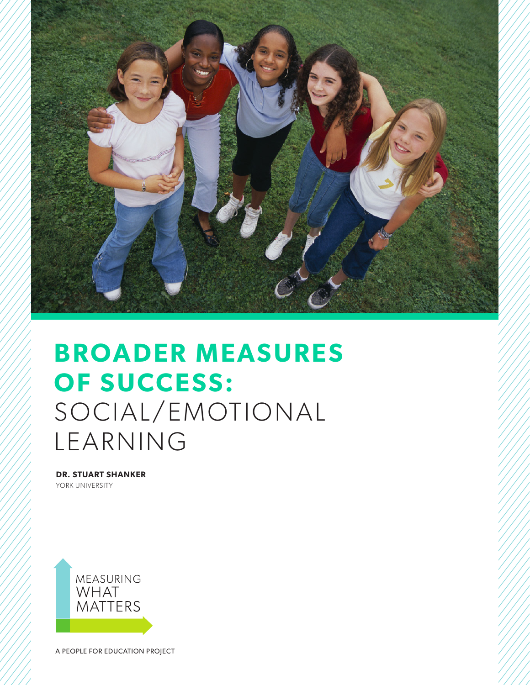

# **BROADER MEASURES OF SUCCESS:** SOCIAL/EMOTIONAL LEARNING

**DR. STUART SHANKER** YORK UNIVERSITY



A PEOPLE FOR EDUCATION PROJECT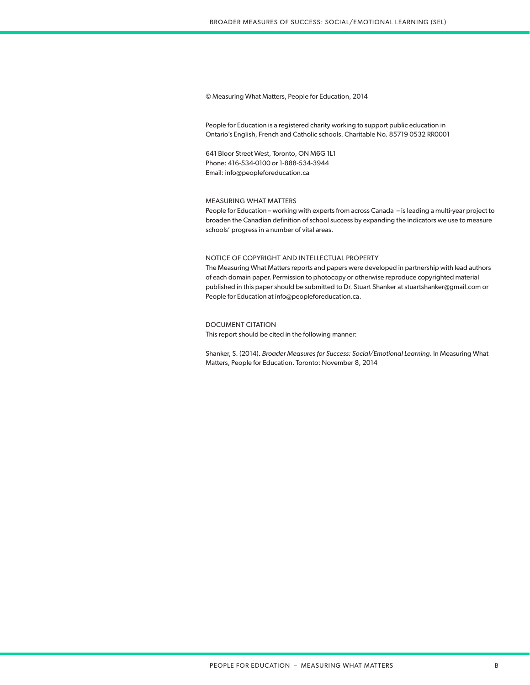#### © Measuring What Matters, People for Education, 2014

People for Education is a registered charity working to support public education in Ontario's English, French and Catholic schools. Charitable No. 85719 0532 RR0001

641 Bloor Street West, Toronto, ON M6G 1L1 Phone: 416-534-0100 or 1-888-534-3944 Email: info@peopleforeducation.ca

#### MEASURING WHAT MATTERS

People for Education – working with experts from across Canada – is leading a multi-year project to broaden the Canadian definition of school success by expanding the indicators we use to measure schools' progress in a number of vital areas.

#### NOTICE OF COPYRIGHT AND INTELLECTUAL PROPERTY

The Measuring What Matters reports and papers were developed in partnership with lead authors of each domain paper. Permission to photocopy or otherwise reproduce copyrighted material published in this paper should be submitted to Dr. Stuart Shanker at stuartshanker@gmail.com or People for Education at info@peopleforeducation.ca.

#### DOCUMENT CITATION

This report should be cited in the following manner:

Shanker, S. (2014). *Broader Measures for Success: Social/Emotional Learning*. In Measuring What Matters, People for Education. Toronto: November 8, 2014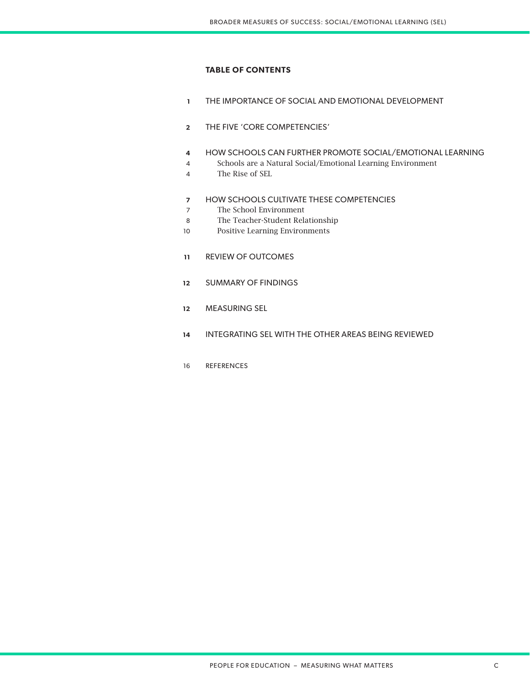# **TABLE OF CONTENTS**

- THE IMPORTANCE OF SOCIAL AND EMOTIONAL DEVELOPMENT **1**
- THE FIVE 'CORE COMPETENCIES' **2**
- HOW SCHOOLS CAN FURTHER PROMOTE SOCIAL/EMOTIONAL LEARNING **4**
- Schools are a Natural Social/Emotional Learning Environment 4
- The Rise of SEL 4
- HOW SCHOOLS CULTIVATE THESE COMPETENCIES **7**
- The School Environment 7
- The Teacher-Student Relationship 8
- Positive Learning Environments 10
- REVIEW OF OUTCOMES **11**
- SUMMARY OF FINDINGS **12**
- MEASURING SEL **12**
- INTEGRATING SEL WITH THE OTHER AREAS BEING REVIEWED **14**
- REFERENCES 16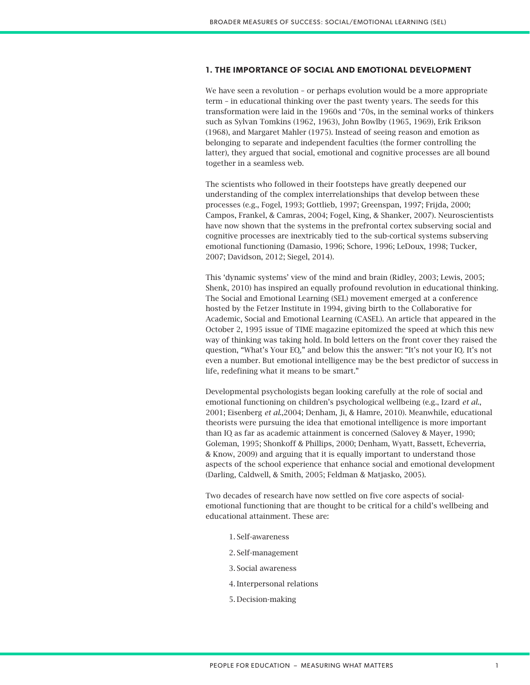# **1. THE IMPORTANCE OF SOCIAL AND EMOTIONAL DEVELOPMENT**

We have seen a revolution – or perhaps evolution would be a more appropriate term – in educational thinking over the past twenty years. The seeds for this transformation were laid in the 1960s and '70s, in the seminal works of thinkers such as Sylvan Tomkins (1962, 1963), John Bowlby (1965, 1969), Erik Erikson (1968), and Margaret Mahler (1975). Instead of seeing reason and emotion as belonging to separate and independent faculties (the former controlling the latter), they argued that social, emotional and cognitive processes are all bound together in a seamless web.

The scientists who followed in their footsteps have greatly deepened our understanding of the complex interrelationships that develop between these processes (e.g., Fogel, 1993; Gottlieb, 1997; Greenspan, 1997; Frijda, 2000; Campos, Frankel, & Camras, 2004; Fogel, King, & Shanker, 2007). Neuroscientists have now shown that the systems in the prefrontal cortex subserving social and cognitive processes are inextricably tied to the sub-cortical systems subserving emotional functioning (Damasio, 1996; Schore, 1996; LeDoux, 1998; Tucker, 2007; Davidson, 2012; Siegel, 2014).

This 'dynamic systems' view of the mind and brain (Ridley, 2003; Lewis, 2005; Shenk, 2010) has inspired an equally profound revolution in educational thinking. The Social and Emotional Learning (SEL) movement emerged at a conference hosted by the Fetzer Institute in 1994, giving birth to the Collaborative for Academic, Social and Emotional Learning (CASEL). An article that appeared in the October 2, 1995 issue of TIME magazine epitomized the speed at which this new way of thinking was taking hold. In bold letters on the front cover they raised the question, "What's Your EQ," and below this the answer: "It's not your IQ. It's not even a number. But emotional intelligence may be the best predictor of success in life, redefining what it means to be smart."

Developmental psychologists began looking carefully at the role of social and emotional functioning on children's psychological wellbeing (e.g., Izard *et al*., 2001; Eisenberg *et al*.,2004; Denham, Ji, & Hamre, 2010). Meanwhile, educational theorists were pursuing the idea that emotional intelligence is more important than IQ as far as academic attainment is concerned (Salovey & Mayer, 1990; Goleman, 1995; Shonkoff & Phillips, 2000; Denham, Wyatt, Bassett, Echeverria, & Know, 2009) and arguing that it is equally important to understand those aspects of the school experience that enhance social and emotional development (Darling, Caldwell, & Smith, 2005; Feldman & Matjasko, 2005).

Two decades of research have now settled on five core aspects of socialemotional functioning that are thought to be critical for a child's wellbeing and educational attainment. These are:

- 1. Self-awareness
- 2. Self-management
- 3. Social awareness
- 4. Interpersonal relations
- 5. Decision-making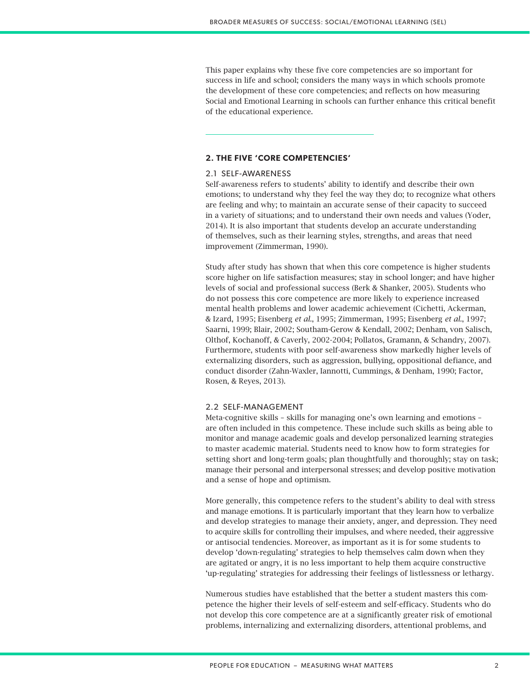This paper explains why these five core competencies are so important for success in life and school; considers the many ways in which schools promote the development of these core competencies; and reflects on how measuring Social and Emotional Learning in schools can further enhance this critical benefit of the educational experience.

# **2. THE FIVE 'CORE COMPETENCIES'**

## 2.1 SELF-AWARENESS

Self-awareness refers to students' ability to identify and describe their own emotions; to understand why they feel the way they do; to recognize what others are feeling and why; to maintain an accurate sense of their capacity to succeed in a variety of situations; and to understand their own needs and values (Yoder, 2014). It is also important that students develop an accurate understanding of themselves, such as their learning styles, strengths, and areas that need improvement (Zimmerman, 1990).

Study after study has shown that when this core competence is higher students score higher on life satisfaction measures; stay in school longer; and have higher levels of social and professional success (Berk & Shanker, 2005). Students who do not possess this core competence are more likely to experience increased mental health problems and lower academic achievement (Cichetti, Ackerman, & Izard, 1995; Eisenberg *et al*., 1995; Zimmerman, 1995; Eisenberg *et al*., 1997; Saarni, 1999; Blair, 2002; Southam-Gerow & Kendall, 2002; Denham, von Salisch, Olthof, Kochanoff, & Caverly, 2002-2004; Pollatos, Gramann, & Schandry, 2007). Furthermore, students with poor self-awareness show markedly higher levels of externalizing disorders, such as aggression, bullying, oppositional defiance, and conduct disorder (Zahn-Waxler, Iannotti, Cummings, & Denham, 1990; Factor, Rosen, & Reyes, 2013).

#### 2.2 SELF-MANAGEMENT

Meta-cognitive skills – skills for managing one's own learning and emotions – are often included in this competence. These include such skills as being able to monitor and manage academic goals and develop personalized learning strategies to master academic material. Students need to know how to form strategies for setting short and long-term goals; plan thoughtfully and thoroughly; stay on task; manage their personal and interpersonal stresses; and develop positive motivation and a sense of hope and optimism.

More generally, this competence refers to the student's ability to deal with stress and manage emotions. It is particularly important that they learn how to verbalize and develop strategies to manage their anxiety, anger, and depression. They need to acquire skills for controlling their impulses, and where needed, their aggressive or antisocial tendencies. Moreover, as important as it is for some students to develop 'down-regulating' strategies to help themselves calm down when they are agitated or angry, it is no less important to help them acquire constructive 'up-regulating' strategies for addressing their feelings of listlessness or lethargy.

Numerous studies have established that the better a student masters this competence the higher their levels of self-esteem and self-efficacy. Students who do not develop this core competence are at a significantly greater risk of emotional problems, internalizing and externalizing disorders, attentional problems, and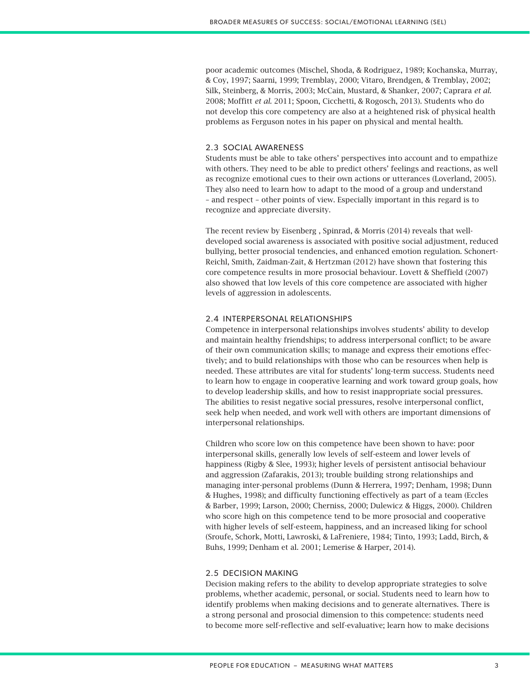poor academic outcomes (Mischel, Shoda, & Rodriguez, 1989; Kochanska, Murray, & Coy, 1997; Saarni, 1999; Tremblay, 2000; Vitaro, Brendgen, & Tremblay, 2002; Silk, Steinberg, & Morris, 2003; McCain, Mustard, & Shanker, 2007; Caprara *et al.*  2008; Moffitt *et al.* 2011; Spoon, Cicchetti, & Rogosch, 2013). Students who do not develop this core competency are also at a heightened risk of physical health problems as Ferguson notes in his paper on physical and mental health.

# 2.3 SOCIAL AWARENESS

Students must be able to take others' perspectives into account and to empathize with others. They need to be able to predict others' feelings and reactions, as well as recognize emotional cues to their own actions or utterances (Loverland, 2005). They also need to learn how to adapt to the mood of a group and understand – and respect – other points of view. Especially important in this regard is to recognize and appreciate diversity.

The recent review by Eisenberg , Spinrad, & Morris (2014) reveals that welldeveloped social awareness is associated with positive social adjustment, reduced bullying, better prosocial tendencies, and enhanced emotion regulation. Schonert-Reichl, Smith, Zaidman-Zait, & Hertzman (2012) have shown that fostering this core competence results in more prosocial behaviour. Lovett & Sheffield (2007) also showed that low levels of this core competence are associated with higher levels of aggression in adolescents.

## 2.4 INTERPERSONAL RELATIONSHIPS

Competence in interpersonal relationships involves students' ability to develop and maintain healthy friendships; to address interpersonal conflict; to be aware of their own communication skills; to manage and express their emotions effectively; and to build relationships with those who can be resources when help is needed. These attributes are vital for students' long-term success. Students need to learn how to engage in cooperative learning and work toward group goals, how to develop leadership skills, and how to resist inappropriate social pressures. The abilities to resist negative social pressures, resolve interpersonal conflict, seek help when needed, and work well with others are important dimensions of interpersonal relationships.

Children who score low on this competence have been shown to have: poor interpersonal skills, generally low levels of self-esteem and lower levels of happiness (Rigby & Slee, 1993); higher levels of persistent antisocial behaviour and aggression (Zafarakis, 2013); trouble building strong relationships and managing inter-personal problems (Dunn & Herrera, 1997; Denham, 1998; Dunn & Hughes, 1998); and difficulty functioning effectively as part of a team (Eccles & Barber, 1999; Larson, 2000; Cherniss, 2000; Dulewicz & Higgs, 2000). Children who score high on this competence tend to be more prosocial and cooperative with higher levels of self-esteem, happiness, and an increased liking for school (Sroufe, Schork, Motti, Lawroski, & LaFreniere, 1984; Tinto, 1993; Ladd, Birch, & Buhs, 1999; Denham et al. 2001; Lemerise & Harper, 2014).

## 2.5 DECISION MAKING

Decision making refers to the ability to develop appropriate strategies to solve problems, whether academic, personal, or social. Students need to learn how to identify problems when making decisions and to generate alternatives. There is a strong personal and prosocial dimension to this competence: students need to become more self-reflective and self-evaluative; learn how to make decisions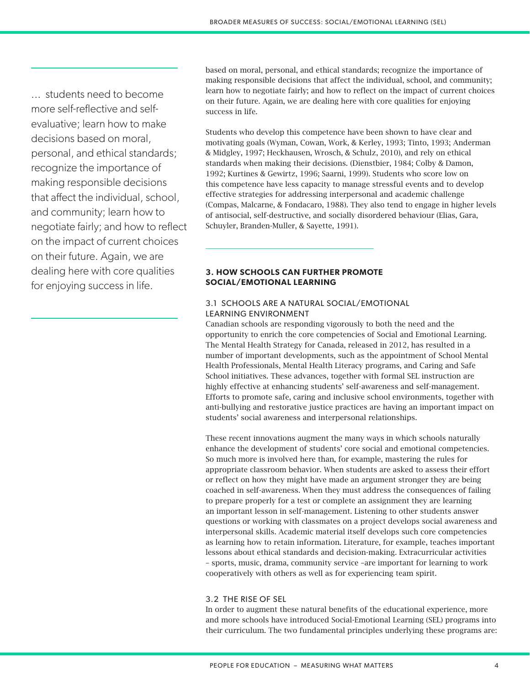... students need to become more self-reflective and selfevaluative; learn how to make decisions based on moral, personal, and ethical standards; recognize the importance of making responsible decisions that affect the individual, school, and community; learn how to negotiate fairly; and how to reflect on the impact of current choices on their future. Again, we are dealing here with core qualities for enjoying success in life.

based on moral, personal, and ethical standards; recognize the importance of making responsible decisions that affect the individual, school, and community; learn how to negotiate fairly; and how to reflect on the impact of current choices on their future. Again, we are dealing here with core qualities for enjoying success in life.

Students who develop this competence have been shown to have clear and motivating goals (Wyman, Cowan, Work, & Kerley, 1993; Tinto, 1993; Anderman & Midgley, 1997; Heckhausen, Wrosch, & Schulz, 2010), and rely on ethical standards when making their decisions. (Dienstbier, 1984; Colby & Damon, 1992; Kurtines & Gewirtz, 1996; Saarni, 1999). Students who score low on this competence have less capacity to manage stressful events and to develop effective strategies for addressing interpersonal and academic challenge (Compas, Malcarne, & Fondacaro, 1988). They also tend to engage in higher levels of antisocial, self-destructive, and socially disordered behaviour (Elias, Gara, Schuyler, Branden-Muller, & Sayette, 1991).

# **3. HOW SCHOOLS CAN FURTHER PROMOTE SOCIAL/EMOTIONAL LEARNING**

# 3.1 SCHOOLS ARE A NATURAL SOCIAL/EMOTIONAL LEARNING ENVIRONMENT

Canadian schools are responding vigorously to both the need and the opportunity to enrich the core competencies of Social and Emotional Learning. The Mental Health Strategy for Canada, released in 2012, has resulted in a number of important developments, such as the appointment of School Mental Health Professionals, Mental Health Literacy programs, and Caring and Safe School initiatives. These advances, together with formal SEL instruction are highly effective at enhancing students' self-awareness and self-management. Efforts to promote safe, caring and inclusive school environments, together with anti-bullying and restorative justice practices are having an important impact on students' social awareness and interpersonal relationships.

These recent innovations augment the many ways in which schools naturally enhance the development of students' core social and emotional competencies. So much more is involved here than, for example, mastering the rules for appropriate classroom behavior. When students are asked to assess their effort or reflect on how they might have made an argument stronger they are being coached in self-awareness. When they must address the consequences of failing to prepare properly for a test or complete an assignment they are learning an important lesson in self-management. Listening to other students answer questions or working with classmates on a project develops social awareness and interpersonal skills. Academic material itself develops such core competencies as learning how to retain information. Literature, for example, teaches important lessons about ethical standards and decision-making. Extracurricular activities – sports, music, drama, community service –are important for learning to work cooperatively with others as well as for experiencing team spirit.

# 3.2 THE RISE OF SEL

In order to augment these natural benefits of the educational experience, more and more schools have introduced Social-Emotional Learning (SEL) programs into their curriculum. The two fundamental principles underlying these programs are: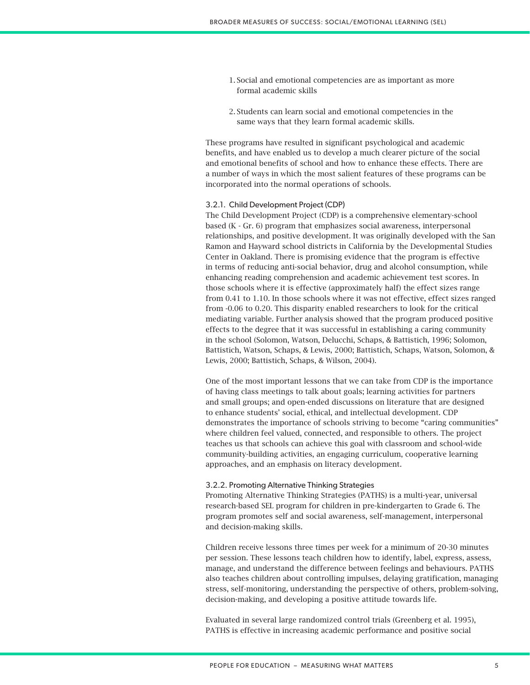- 1. Social and emotional competencies are as important as more formal academic skills
- 2. Students can learn social and emotional competencies in the same ways that they learn formal academic skills.

These programs have resulted in significant psychological and academic benefits, and have enabled us to develop a much clearer picture of the social and emotional benefits of school and how to enhance these effects. There are a number of ways in which the most salient features of these programs can be incorporated into the normal operations of schools.

#### 3.2.1. Child Development Project (CDP)

The Child Development Project (CDP) is a comprehensive elementary-school based (K - Gr. 6) program that emphasizes social awareness, interpersonal relationships, and positive development. It was originally developed with the San Ramon and Hayward school districts in California by the Developmental Studies Center in Oakland. There is promising evidence that the program is effective in terms of reducing anti-social behavior, drug and alcohol consumption, while enhancing reading comprehension and academic achievement test scores. In those schools where it is effective (approximately half) the effect sizes range from 0.41 to 1.10. In those schools where it was not effective, effect sizes ranged from -0.06 to 0.20. This disparity enabled researchers to look for the critical mediating variable. Further analysis showed that the program produced positive effects to the degree that it was successful in establishing a caring community in the school (Solomon, Watson, Delucchi, Schaps, & Battistich, 1996; Solomon, Battistich, Watson, Schaps, & Lewis, 2000; Battistich, Schaps, Watson, Solomon, & Lewis, 2000; Battistich, Schaps, & Wilson, 2004).

One of the most important lessons that we can take from CDP is the importance of having class meetings to talk about goals; learning activities for partners and small groups; and open-ended discussions on literature that are designed to enhance students' social, ethical, and intellectual development. CDP demonstrates the importance of schools striving to become "caring communities" where children feel valued, connected, and responsible to others. The project teaches us that schools can achieve this goal with classroom and school-wide community-building activities, an engaging curriculum, cooperative learning approaches, and an emphasis on literacy development.

#### 3.2.2. Promoting Alternative Thinking Strategies

Promoting Alternative Thinking Strategies (PATHS) is a multi-year, universal research-based SEL program for children in pre-kindergarten to Grade 6. The program promotes self and social awareness, self-management, interpersonal and decision-making skills.

Children receive lessons three times per week for a minimum of 20-30 minutes per session. These lessons teach children how to identify, label, express, assess, manage, and understand the difference between feelings and behaviours. PATHS also teaches children about controlling impulses, delaying gratification, managing stress, self-monitoring, understanding the perspective of others, problem-solving, decision-making, and developing a positive attitude towards life.

Evaluated in several large randomized control trials (Greenberg et al. 1995), PATHS is effective in increasing academic performance and positive social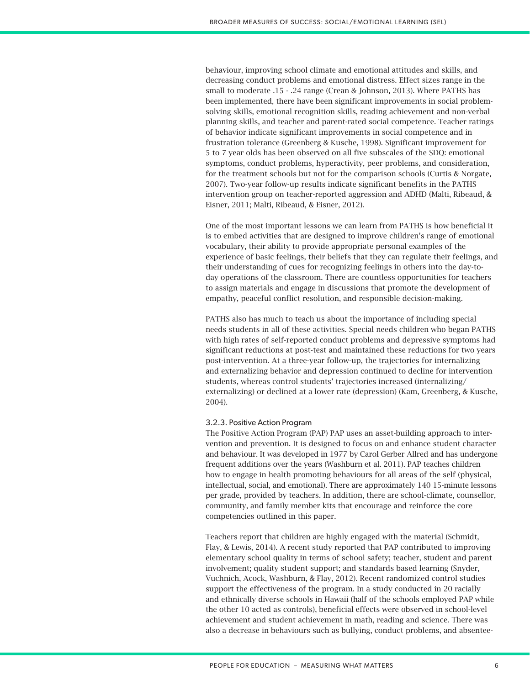behaviour, improving school climate and emotional attitudes and skills, and decreasing conduct problems and emotional distress. Effect sizes range in the small to moderate .15 - .24 range (Crean & Johnson, 2013). Where PATHS has been implemented, there have been significant improvements in social problemsolving skills, emotional recognition skills, reading achievement and non-verbal planning skills, and teacher and parent-rated social competence. Teacher ratings of behavior indicate significant improvements in social competence and in frustration tolerance (Greenberg & Kusche, 1998). Significant improvement for 5 to 7 year olds has been observed on all five subscales of the SDQ: emotional symptoms, conduct problems, hyperactivity, peer problems, and consideration, for the treatment schools but not for the comparison schools (Curtis & Norgate, 2007). Two-year follow-up results indicate significant benefits in the PATHS intervention group on teacher-reported aggression and ADHD (Malti, Ribeaud, & Eisner, 2011; Malti, Ribeaud, & Eisner, 2012).

One of the most important lessons we can learn from PATHS is how beneficial it is to embed activities that are designed to improve children's range of emotional vocabulary, their ability to provide appropriate personal examples of the experience of basic feelings, their beliefs that they can regulate their feelings, and their understanding of cues for recognizing feelings in others into the day-today operations of the classroom. There are countless opportunities for teachers to assign materials and engage in discussions that promote the development of empathy, peaceful conflict resolution, and responsible decision-making.

PATHS also has much to teach us about the importance of including special needs students in all of these activities. Special needs children who began PATHS with high rates of self-reported conduct problems and depressive symptoms had significant reductions at post-test and maintained these reductions for two years post-intervention. At a three-year follow-up, the trajectories for internalizing and externalizing behavior and depression continued to decline for intervention students, whereas control students' trajectories increased (internalizing/ externalizing) or declined at a lower rate (depression) (Kam, Greenberg, & Kusche, 2004).

## 3.2.3. Positive Action Program

The Positive Action Program (PAP) PAP uses an asset-building approach to intervention and prevention. It is designed to focus on and enhance student character and behaviour. It was developed in 1977 by Carol Gerber Allred and has undergone frequent additions over the years (Washburn et al. 2011). PAP teaches children how to engage in health promoting behaviours for all areas of the self (physical, intellectual, social, and emotional). There are approximately 140 15-minute lessons per grade, provided by teachers. In addition, there are school-climate, counsellor, community, and family member kits that encourage and reinforce the core competencies outlined in this paper.

Teachers report that children are highly engaged with the material (Schmidt, Flay, & Lewis, 2014). A recent study reported that PAP contributed to improving elementary school quality in terms of school safety; teacher, student and parent involvement; quality student support; and standards based learning (Snyder, Vuchnich, Acock, Washburn, & Flay, 2012). Recent randomized control studies support the effectiveness of the program. In a study conducted in 20 racially and ethnically diverse schools in Hawaii (half of the schools employed PAP while the other 10 acted as controls), beneficial effects were observed in school-level achievement and student achievement in math, reading and science. There was also a decrease in behaviours such as bullying, conduct problems, and absentee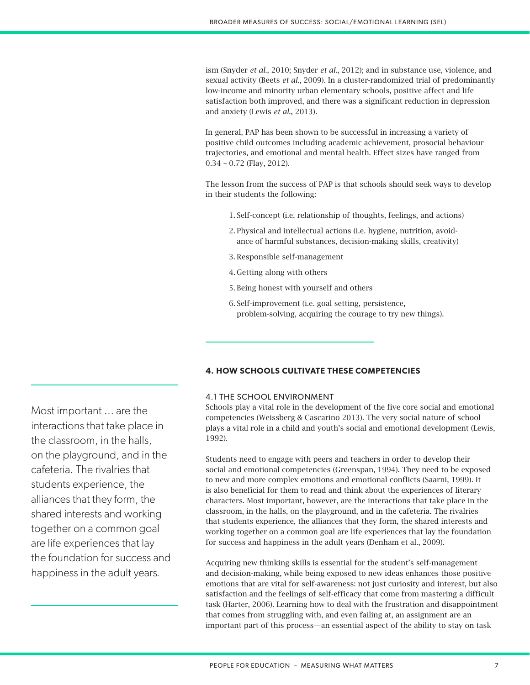ism (Snyder *et al*., 2010; Snyder *et al*., 2012); and in substance use, violence, and sexual activity (Beets *et al*., 2009). In a cluster-randomized trial of predominantly low-income and minority urban elementary schools, positive affect and life satisfaction both improved, and there was a significant reduction in depression and anxiety (Lewis *et al*., 2013).

In general, PAP has been shown to be successful in increasing a variety of positive child outcomes including academic achievement, prosocial behaviour trajectories, and emotional and mental health. Effect sizes have ranged from 0.34 – 0.72 (Flay, 2012).

The lesson from the success of PAP is that schools should seek ways to develop in their students the following:

- 1. Self-concept (i.e. relationship of thoughts, feelings, and actions)
- 2. Physical and intellectual actions (i.e. hygiene, nutrition, avoidance of harmful substances, decision-making skills, creativity)
- 3. Responsible self-management
- 4. Getting along with others
- 5. Being honest with yourself and others
- 6. Self-improvement (i.e. goal setting, persistence, problem-solving, acquiring the courage to try new things).

# **4. HOW SCHOOLS CULTIVATE THESE COMPETENCIES**

## 4.1 THE SCHOOL ENVIRONMENT

Schools play a vital role in the development of the five core social and emotional competencies (Weissberg & Cascarino 2013). The very social nature of school plays a vital role in a child and youth's social and emotional development (Lewis, 1992).

Students need to engage with peers and teachers in order to develop their social and emotional competencies (Greenspan, 1994). They need to be exposed to new and more complex emotions and emotional conflicts (Saarni, 1999). It is also beneficial for them to read and think about the experiences of literary characters. Most important, however, are the interactions that take place in the classroom, in the halls, on the playground, and in the cafeteria. The rivalries that students experience, the alliances that they form, the shared interests and working together on a common goal are life experiences that lay the foundation for success and happiness in the adult years (Denham et al., 2009).

Acquiring new thinking skills is essential for the student's self-management and decision-making, while being exposed to new ideas enhances those positive emotions that are vital for self-awareness: not just curiosity and interest, but also satisfaction and the feelings of self-efficacy that come from mastering a difficult task (Harter, 2006). Learning how to deal with the frustration and disappointment that comes from struggling with, and even failing at, an assignment are an important part of this process—an essential aspect of the ability to stay on task

Most important ... are the interactions that take place in the classroom, in the halls, on the playground, and in the cafeteria. The rivalries that students experience, the alliances that they form, the shared interests and working together on a common goal are life experiences that lay the foundation for success and happiness in the adult years.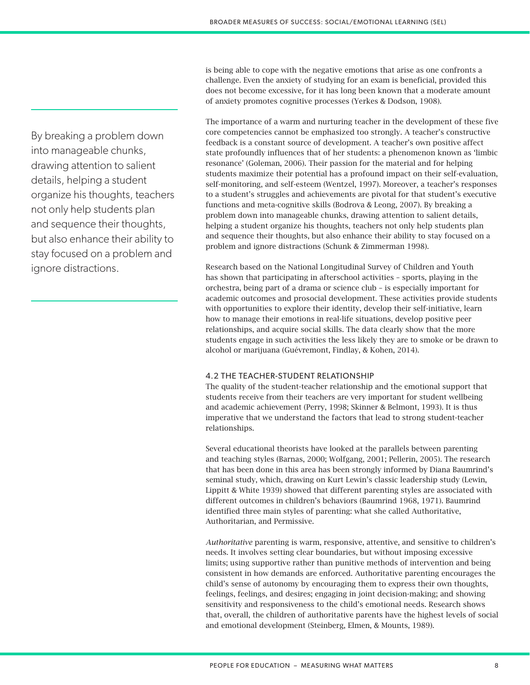is being able to cope with the negative emotions that arise as one confronts a challenge. Even the anxiety of studying for an exam is beneficial, provided this does not become excessive, for it has long been known that a moderate amount of anxiety promotes cognitive processes (Yerkes & Dodson, 1908).

The importance of a warm and nurturing teacher in the development of these five core competencies cannot be emphasized too strongly. A teacher's constructive feedback is a constant source of development. A teacher's own positive affect state profoundly influences that of her students: a phenomenon known as 'limbic resonance' (Goleman, 2006). Their passion for the material and for helping students maximize their potential has a profound impact on their self-evaluation, self-monitoring, and self-esteem (Wentzel, 1997). Moreover, a teacher's responses to a student's struggles and achievements are pivotal for that student's executive functions and meta-cognitive skills (Bodrova & Leong, 2007). By breaking a problem down into manageable chunks, drawing attention to salient details, helping a student organize his thoughts, teachers not only help students plan and sequence their thoughts, but also enhance their ability to stay focused on a problem and ignore distractions (Schunk & Zimmerman 1998).

Research based on the National Longitudinal Survey of Children and Youth has shown that participating in afterschool activities – sports, playing in the orchestra, being part of a drama or science club – is especially important for academic outcomes and prosocial development. These activities provide students with opportunities to explore their identity, develop their self-initiative, learn how to manage their emotions in real-life situations, develop positive peer relationships, and acquire social skills. The data clearly show that the more students engage in such activities the less likely they are to smoke or be drawn to alcohol or marijuana (Guévremont, Findlay, & Kohen, 2014).

# 4.2 THE TEACHER-STUDENT RELATIONSHIP

The quality of the student-teacher relationship and the emotional support that students receive from their teachers are very important for student wellbeing and academic achievement (Perry, 1998; Skinner & Belmont, 1993). It is thus imperative that we understand the factors that lead to strong student-teacher relationships.

Several educational theorists have looked at the parallels between parenting and teaching styles (Barnas, 2000; Wolfgang, 2001; Pellerin, 2005). The research that has been done in this area has been strongly informed by Diana Baumrind's seminal study, which, drawing on Kurt Lewin's classic leadership study (Lewin, Lippitt & White 1939) showed that different parenting styles are associated with different outcomes in children's behaviors (Baumrind 1968, 1971). Baumrind identified three main styles of parenting: what she called Authoritative, Authoritarian, and Permissive.

*Authoritative* parenting is warm, responsive, attentive, and sensitive to children's needs. It involves setting clear boundaries, but without imposing excessive limits; using supportive rather than punitive methods of intervention and being consistent in how demands are enforced. Authoritative parenting encourages the child's sense of autonomy by encouraging them to express their own thoughts, feelings, feelings, and desires; engaging in joint decision-making; and showing sensitivity and responsiveness to the child's emotional needs. Research shows that, overall, the children of authoritative parents have the highest levels of social and emotional development (Steinberg, Elmen, & Mounts, 1989).

By breaking a problem down into manageable chunks, drawing attention to salient details, helping a student organize his thoughts, teachers not only help students plan and sequence their thoughts, but also enhance their ability to stay focused on a problem and ignore distractions.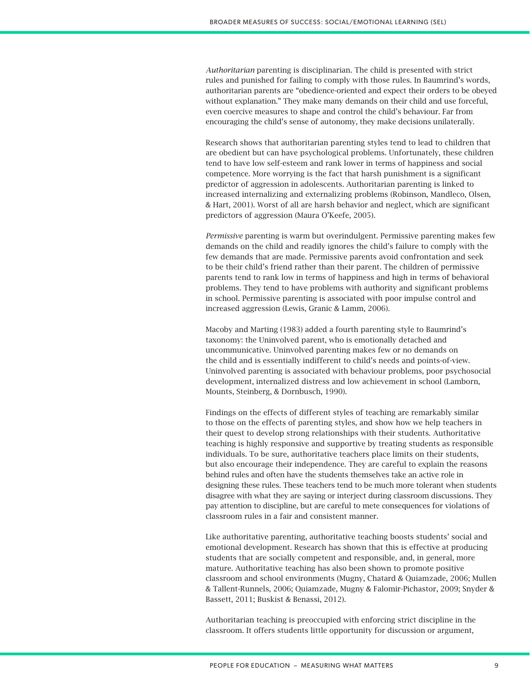*Authoritarian* parenting is disciplinarian. The child is presented with strict rules and punished for failing to comply with those rules. In Baumrind's words, authoritarian parents are "obedience-oriented and expect their orders to be obeyed without explanation." They make many demands on their child and use forceful, even coercive measures to shape and control the child's behaviour. Far from encouraging the child's sense of autonomy, they make decisions unilaterally.

Research shows that authoritarian parenting styles tend to lead to children that are obedient but can have psychological problems. Unfortunately, these children tend to have low self-esteem and rank lower in terms of happiness and social competence. More worrying is the fact that harsh punishment is a significant predictor of aggression in adolescents. Authoritarian parenting is linked to increased internalizing and externalizing problems (Robinson, Mandleco, Olsen, & Hart, 2001). Worst of all are harsh behavior and neglect, which are significant predictors of aggression (Maura O'Keefe, 2005).

*Permissive* parenting is warm but overindulgent. Permissive parenting makes few demands on the child and readily ignores the child's failure to comply with the few demands that are made. Permissive parents avoid confrontation and seek to be their child's friend rather than their parent. The children of permissive parents tend to rank low in terms of happiness and high in terms of behavioral problems. They tend to have problems with authority and significant problems in school. Permissive parenting is associated with poor impulse control and increased aggression (Lewis, Granic & Lamm, 2006).

Macoby and Marting (1983) added a fourth parenting style to Baumrind's taxonomy: the Uninvolved parent, who is emotionally detached and uncommunicative. Uninvolved parenting makes few or no demands on the child and is essentially indifferent to child's needs and points-of-view. Uninvolved parenting is associated with behaviour problems, poor psychosocial development, internalized distress and low achievement in school (Lamborn, Mounts, Steinberg, & Dornbusch, 1990).

Findings on the effects of different styles of teaching are remarkably similar to those on the effects of parenting styles, and show how we help teachers in their quest to develop strong relationships with their students. Authoritative teaching is highly responsive and supportive by treating students as responsible individuals. To be sure, authoritative teachers place limits on their students, but also encourage their independence. They are careful to explain the reasons behind rules and often have the students themselves take an active role in designing these rules. These teachers tend to be much more tolerant when students disagree with what they are saying or interject during classroom discussions. They pay attention to discipline, but are careful to mete consequences for violations of classroom rules in a fair and consistent manner.

Like authoritative parenting, authoritative teaching boosts students' social and emotional development. Research has shown that this is effective at producing students that are socially competent and responsible, and, in general, more mature. Authoritative teaching has also been shown to promote positive classroom and school environments (Mugny, Chatard & Quiamzade, 2006; Mullen & Tallent-Runnels, 2006; Quiamzade, Mugny & Falomir-Pichastor, 2009; Snyder & Bassett, 2011; Buskist & Benassi, 2012).

Authoritarian teaching is preoccupied with enforcing strict discipline in the classroom. It offers students little opportunity for discussion or argument,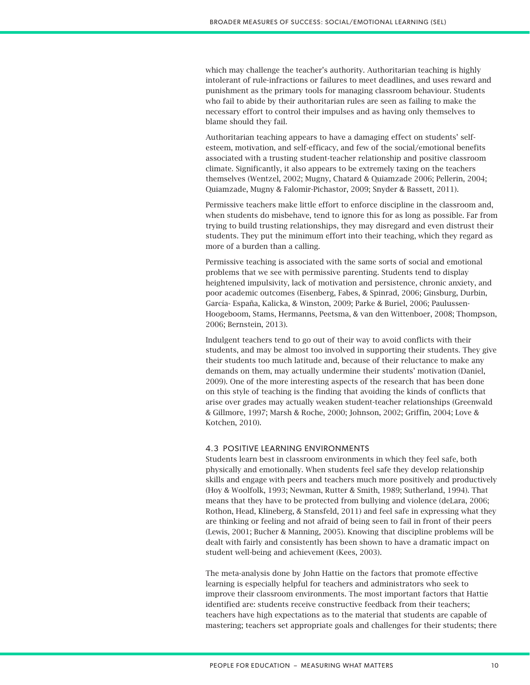which may challenge the teacher's authority. Authoritarian teaching is highly intolerant of rule-infractions or failures to meet deadlines, and uses reward and punishment as the primary tools for managing classroom behaviour. Students who fail to abide by their authoritarian rules are seen as failing to make the necessary effort to control their impulses and as having only themselves to blame should they fail.

Authoritarian teaching appears to have a damaging effect on students' selfesteem, motivation, and self-efficacy, and few of the social/emotional benefits associated with a trusting student-teacher relationship and positive classroom climate. Significantly, it also appears to be extremely taxing on the teachers themselves (Wentzel, 2002; Mugny, Chatard & Quiamzade 2006; Pellerin, 2004; Quiamzade, Mugny & Falomir-Pichastor, 2009; Snyder & Bassett, 2011).

Permissive teachers make little effort to enforce discipline in the classroom and, when students do misbehave, tend to ignore this for as long as possible. Far from trying to build trusting relationships, they may disregard and even distrust their students. They put the minimum effort into their teaching, which they regard as more of a burden than a calling.

Permissive teaching is associated with the same sorts of social and emotional problems that we see with permissive parenting. Students tend to display heightened impulsivity, lack of motivation and persistence, chronic anxiety, and poor academic outcomes (Eisenberg, Fabes, & Spinrad, 2006; Ginsburg, Durbin, García- España, Kalicka, & Winston, 2009; Parke & Buriel, 2006; Paulussen-Hoogeboom, Stams, Hermanns, Peetsma, & van den Wittenboer, 2008; Thompson, 2006; Bernstein, 2013).

Indulgent teachers tend to go out of their way to avoid conflicts with their students, and may be almost too involved in supporting their students. They give their students too much latitude and, because of their reluctance to make any demands on them, may actually undermine their students' motivation (Daniel, 2009). One of the more interesting aspects of the research that has been done on this style of teaching is the finding that avoiding the kinds of conflicts that arise over grades may actually weaken student-teacher relationships (Greenwald & Gillmore, 1997; Marsh & Roche, 2000; Johnson, 2002; Griffin, 2004; Love & Kotchen, 2010).

# 4.3 POSITIVE LEARNING ENVIRONMENTS

Students learn best in classroom environments in which they feel safe, both physically and emotionally. When students feel safe they develop relationship skills and engage with peers and teachers much more positively and productively (Hoy & Woolfolk, 1993; Newman, Rutter & Smith, 1989; Sutherland, 1994). That means that they have to be protected from bullying and violence (deLara, 2006; Rothon, Head, Klineberg, & Stansfeld, 2011) and feel safe in expressing what they are thinking or feeling and not afraid of being seen to fail in front of their peers (Lewis, 2001; Bucher & Manning, 2005). Knowing that discipline problems will be dealt with fairly and consistently has been shown to have a dramatic impact on student well-being and achievement (Kees, 2003).

The meta-analysis done by John Hattie on the factors that promote effective learning is especially helpful for teachers and administrators who seek to improve their classroom environments. The most important factors that Hattie identified are: students receive constructive feedback from their teachers; teachers have high expectations as to the material that students are capable of mastering; teachers set appropriate goals and challenges for their students; there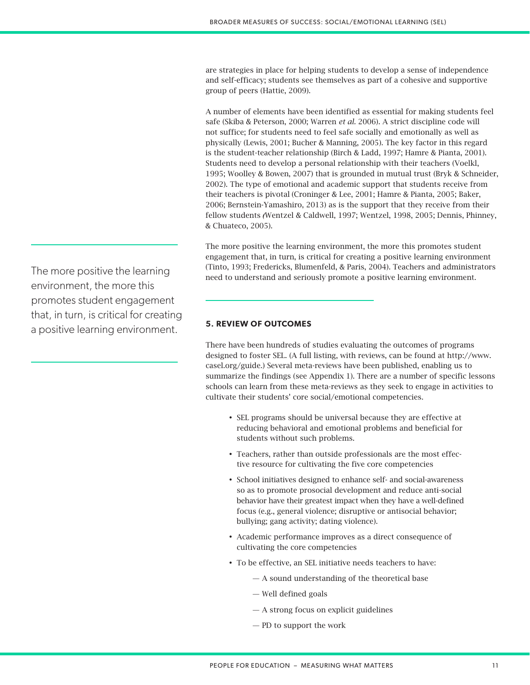are strategies in place for helping students to develop a sense of independence and self-efficacy; students see themselves as part of a cohesive and supportive group of peers (Hattie, 2009).

A number of elements have been identified as essential for making students feel safe (Skiba & Peterson, 2000; Warren *et al.* 2006). A strict discipline code will not suffice; for students need to feel safe socially and emotionally as well as physically (Lewis, 2001; Bucher & Manning, 2005). The key factor in this regard is the student-teacher relationship (Birch & Ladd, 1997; Hamre & Pianta, 2001). Students need to develop a personal relationship with their teachers (Voelkl, 1995; Woolley & Bowen, 2007) that is grounded in mutual trust (Bryk & Schneider, 2002). The type of emotional and academic support that students receive from their teachers is pivotal (Croninger & Lee, 2001; Hamre & Pianta, 2005; Baker, 2006; Bernstein-Yamashiro, 2013) as is the support that they receive from their fellow students *(*Wentzel & Caldwell, 1997; Wentzel, 1998, 2005; Dennis, Phinney, & Chuateco, 2005).

The more positive the learning environment, the more this promotes student engagement that, in turn, is critical for creating a positive learning environment (Tinto, 1993; Fredericks, Blumenfeld, & Paris, 2004). Teachers and administrators need to understand and seriously promote a positive learning environment.

# **5. REVIEW OF OUTCOMES**

There have been hundreds of studies evaluating the outcomes of programs designed to foster SEL. (A full listing, with reviews, can be found at http://www. casel.org/guide.) Several meta-reviews have been published, enabling us to summarize the findings (see Appendix 1). There are a number of specific lessons schools can learn from these meta-reviews as they seek to engage in activities to cultivate their students' core social/emotional competencies.

- • SEL programs should be universal because they are effective at reducing behavioral and emotional problems and beneficial for students without such problems.
- Teachers, rather than outside professionals are the most effective resource for cultivating the five core competencies
- School initiatives designed to enhance self- and social-awareness so as to promote prosocial development and reduce anti-social behavior have their greatest impact when they have a well-defined focus (e.g., general violence; disruptive or antisocial behavior; bullying; gang activity; dating violence).
- • Academic performance improves as a direct consequence of cultivating the core competencies
- To be effective, an SEL initiative needs teachers to have:
	- A sound understanding of the theoretical base
	- Well defined goals
	- A strong focus on explicit guidelines
	- PD to support the work

The more positive the learning environment, the more this promotes student engagement that, in turn, is critical for creating a positive learning environment.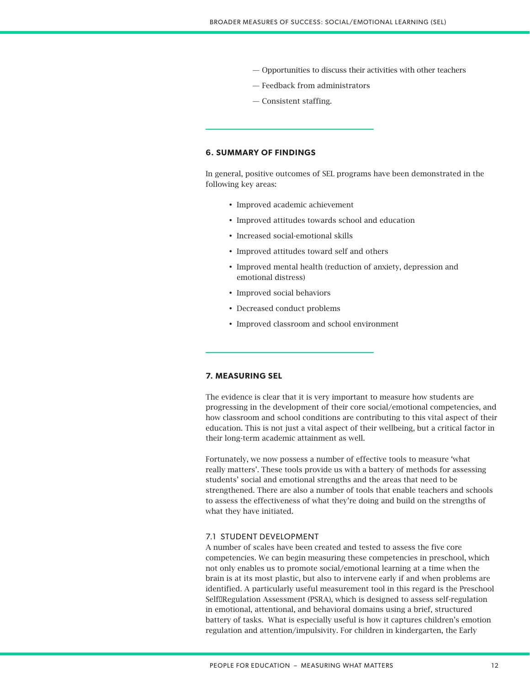- Opportunities to discuss their activities with other teachers
- Feedback from administrators
- Consistent staffing.

## **6. SUMMARY OF FINDINGS**

In general, positive outcomes of SEL programs have been demonstrated in the following key areas:

- • Improved academic achievement
- Improved attitudes towards school and education
- Increased social-emotional skills
- • Improved attitudes toward self and others
- • Improved mental health (reduction of anxiety, depression and emotional distress)
- Improved social behaviors
- • Decreased conduct problems
- Improved classroom and school environment

# **7. MEASURING SEL**

The evidence is clear that it is very important to measure how students are progressing in the development of their core social/emotional competencies, and how classroom and school conditions are contributing to this vital aspect of their education. This is not just a vital aspect of their wellbeing, but a critical factor in their long-term academic attainment as well.

Fortunately, we now possess a number of effective tools to measure 'what really matters'. These tools provide us with a battery of methods for assessing students' social and emotional strengths and the areas that need to be strengthened. There are also a number of tools that enable teachers and schools to assess the effectiveness of what they're doing and build on the strengths of what they have initiated.

# 7.1 STUDENT DEVELOPMENT

A number of scales have been created and tested to assess the five core competencies. We can begin measuring these competencies in preschool, which not only enables us to promote social/emotional learning at a time when the brain is at its most plastic, but also to intervene early if and when problems are identified. A particularly useful measurement tool in this regard is the Preschool Self<sub>URegulation</sub> Assessment (PSRA), which is designed to assess self-regulation in emotional, attentional, and behavioral domains using a brief, structured battery of tasks. What is especially useful is how it captures children's emotion regulation and attention/impulsivity. For children in kindergarten, the Early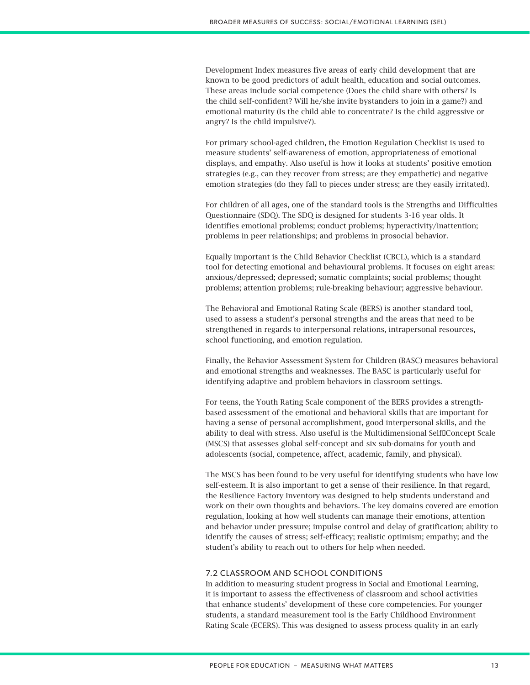Development Index measures five areas of early child development that are known to be good predictors of adult health, education and social outcomes. These areas include social competence (Does the child share with others? Is the child self-confident? Will he/she invite bystanders to join in a game?) and emotional maturity (Is the child able to concentrate? Is the child aggressive or angry? Is the child impulsive?).

For primary school-aged children, the Emotion Regulation Checklist is used to measure students' self-awareness of emotion, appropriateness of emotional displays, and empathy. Also useful is how it looks at students' positive emotion strategies (e.g., can they recover from stress; are they empathetic) and negative emotion strategies (do they fall to pieces under stress; are they easily irritated).

For children of all ages, one of the standard tools is the Strengths and Difficulties Questionnaire (SDQ). The SDQ is designed for students 3-16 year olds. It identifies emotional problems; conduct problems; hyperactivity/inattention; problems in peer relationships; and problems in prosocial behavior.

Equally important is the Child Behavior Checklist (CBCL), which is a standard tool for detecting emotional and behavioural problems. It focuses on eight areas: anxious/depressed; depressed; somatic complaints; social problems; thought problems; attention problems; rule-breaking behaviour; aggressive behaviour.

The Behavioral and Emotional Rating Scale (BERS) is another standard tool, used to assess a student's personal strengths and the areas that need to be strengthened in regards to interpersonal relations, intrapersonal resources, school functioning, and emotion regulation.

Finally, the Behavior Assessment System for Children (BASC) measures behavioral and emotional strengths and weaknesses. The BASC is particularly useful for identifying adaptive and problem behaviors in classroom settings.

For teens, the Youth Rating Scale component of the BERS provides a strengthbased assessment of the emotional and behavioral skills that are important for having a sense of personal accomplishment, good interpersonal skills, and the ability to deal with stress. Also useful is the Multidimensional Self<sup>[[Concept Scale]</sup> (MSCS) that assesses global self-concept and six sub-domains for youth and adolescents (social, competence, affect, academic, family, and physical).

The MSCS has been found to be very useful for identifying students who have low self-esteem. It is also important to get a sense of their resilience. In that regard, the Resilience Factory Inventory was designed to help students understand and work on their own thoughts and behaviors. The key domains covered are emotion regulation, looking at how well students can manage their emotions, attention and behavior under pressure; impulse control and delay of gratification; ability to identify the causes of stress; self-efficacy; realistic optimism; empathy; and the student's ability to reach out to others for help when needed.

# 7.2 CLASSROOM AND SCHOOL CONDITIONS

In addition to measuring student progress in Social and Emotional Learning, it is important to assess the effectiveness of classroom and school activities that enhance students' development of these core competencies. For younger students, a standard measurement tool is the Early Childhood Environment Rating Scale (ECERS). This was designed to assess process quality in an early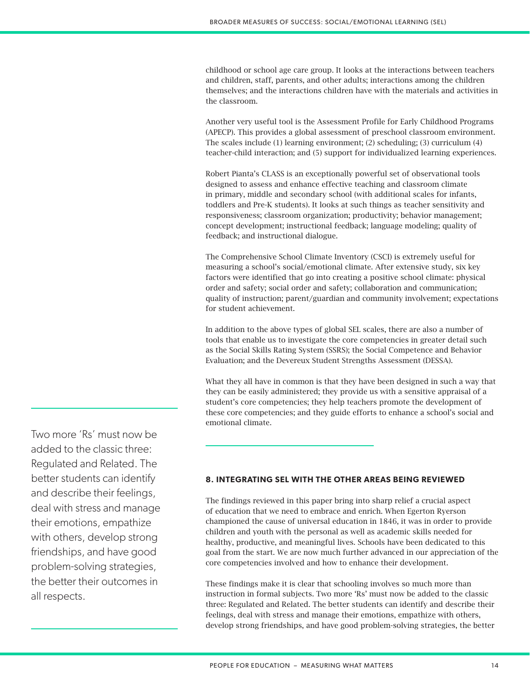childhood or school age care group. It looks at the interactions between teachers and children, staff, parents, and other adults; interactions among the children themselves; and the interactions children have with the materials and activities in the classroom.

Another very useful tool is the Assessment Profile for Early Childhood Programs (APECP). This provides a global assessment of preschool classroom environment. The scales include (1) learning environment; (2) scheduling; (3) curriculum (4) teacher-child interaction; and (5) support for individualized learning experiences.

Robert Pianta's CLASS is an exceptionally powerful set of observational tools designed to assess and enhance effective teaching and classroom climate in primary, middle and secondary school (with additional scales for infants, toddlers and Pre-K students). It looks at such things as teacher sensitivity and responsiveness; classroom organization; productivity; behavior management; concept development; instructional feedback; language modeling; quality of feedback; and instructional dialogue.

The Comprehensive School Climate Inventory (CSCI) is extremely useful for measuring a school's social/emotional climate. After extensive study, six key factors were identified that go into creating a positive school climate: physical order and safety; social order and safety; collaboration and communication; quality of instruction; parent/guardian and community involvement; expectations for student achievement.

In addition to the above types of global SEL scales, there are also a number of tools that enable us to investigate the core competencies in greater detail such as the Social Skills Rating System (SSRS); the Social Competence and Behavior Evaluation; and the Devereux Student Strengths Assessment (DESSA).

What they all have in common is that they have been designed in such a way that they can be easily administered; they provide us with a sensitive appraisal of a student's core competencies; they help teachers promote the development of these core competencies; and they guide efforts to enhance a school's social and emotional climate.

# **8. INTEGRATING SEL WITH THE OTHER AREAS BEING REVIEWED**

The findings reviewed in this paper bring into sharp relief a crucial aspect of education that we need to embrace and enrich. When Egerton Ryerson championed the cause of universal education in 1846, it was in order to provide children and youth with the personal as well as academic skills needed for healthy, productive, and meaningful lives. Schools have been dedicated to this goal from the start. We are now much further advanced in our appreciation of the core competencies involved and how to enhance their development.

These findings make it is clear that schooling involves so much more than instruction in formal subjects. Two more 'Rs' must now be added to the classic three: Regulated and Related. The better students can identify and describe their feelings, deal with stress and manage their emotions, empathize with others, develop strong friendships, and have good problem-solving strategies, the better

Two more 'Rs' must now be added to the classic three: Regulated and Related. The better students can identify and describe their feelings, deal with stress and manage their emotions, empathize with others, develop strong friendships, and have good problem-solving strategies, the better their outcomes in all respects.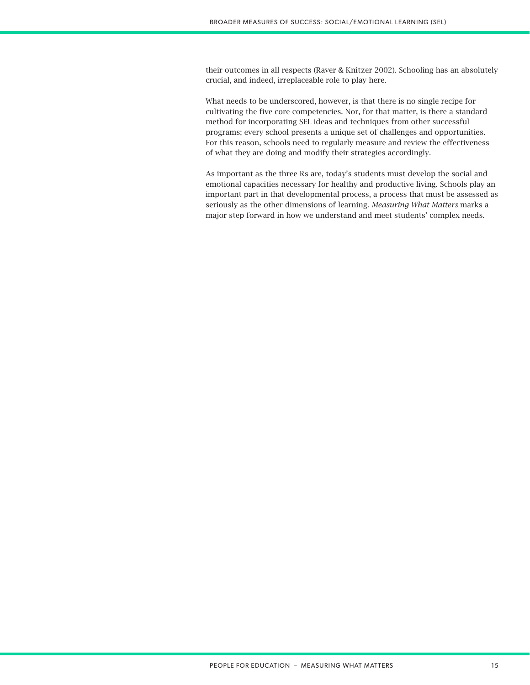their outcomes in all respects (Raver & Knitzer 2002). Schooling has an absolutely crucial, and indeed, irreplaceable role to play here.

What needs to be underscored, however, is that there is no single recipe for cultivating the five core competencies. Nor, for that matter, is there a standard method for incorporating SEL ideas and techniques from other successful programs; every school presents a unique set of challenges and opportunities. For this reason, schools need to regularly measure and review the effectiveness of what they are doing and modify their strategies accordingly.

As important as the three Rs are, today's students must develop the social and emotional capacities necessary for healthy and productive living. Schools play an important part in that developmental process, a process that must be assessed as seriously as the other dimensions of learning. *Measuring What Matters* marks a major step forward in how we understand and meet students' complex needs.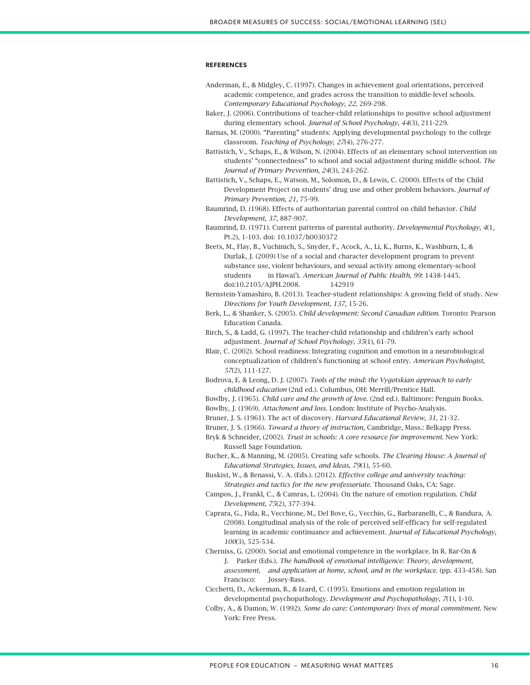#### **REFERENCES**

- Anderman, E., & Midgley, C. (1997). Changes in achievement goal orientations, perceived academic competence, and grades across the transition to middle-level schools. *Contemporary Educational Psychology*, *22*, 269-298.
- Baker, J. (2006). Contributions of teacher-child relationships to positive school adjustment during elementary school. *Journal of School Psychology*, *44*(3), 211-229.
- Barnas, M. (2000). "Parenting" students: Applying developmental psychology to the college classroom. *Teaching of Psychology*, *27*(4), 276-277.
- Battistich, V., Schaps, E., & Wilson, N. (2004). Effects of an elementary school intervention on students' "connectedness" to school and social adjustment during middle school. *The Journal of Primary Prevention*, *24*(3), 243-262.
- Battistich, V., Schaps, E., Watson, M., Solomon, D., & Lewis, C. (2000). Effects of the Child Development Project on students' drug use and other problem behaviors. *Journal of Primary Prevention*, *21*, 75-99.

Baumrind, D. (1968). Effects of authoritarian parental control on child behavior. *Child Development*, *37*, 887-907.

Baumrind, D. (1971). Current patterns of parental authority. *Developmental Psychology*, *4*(1, Pt.2), 1-103. doi: 10.1037/h0030372

- Beets, M., Flay, B., Vuchinich, S., Snyder, F., Acock, A., Li, K., Burns, K., Washburn, I., & Durlak, J. (2009) Use of a social and character development program to prevent substance use, violent behaviours, and sexual activity among elementary-school students in Hawai'i. *American Journal of Public Health*, *99*: 1438-1445. doi:10.2105/AJPH.2008. 142919
- Bernstein-Yamashiro, B. (2013). Teacher-student relationships: A growing field of study. *New Directions for Youth Development*, *137*, 15-26.
- Berk, L., & Shanker, S. (2005). *Child development: Second Canadian edition*. Toronto: Pearson Education Canada.
- Birch, S., & Ladd, G. (1997). The teacher-child relationship and children's early school adjustment. *Journal of School Psychology*, *35*(1), 61-79.
- Blair, C. (2002). School readiness: Integrating cognition and emotion in a neurobiological conceptualization of children's functioning at school entry. *American Psychologist*, *57*(2), 111-127.
- Bodrova, E. & Leong, D. J. (2007). *Tools of the mind: the Vygotskian approach to early childhood education* (2nd ed.). Columbus, OH: Merrill/Prentice Hall.
- Bowlby, J. (1965). *Child care and the growth of love*. (2nd ed.). Baltimore: Penguin Books.
- Bowlby, J. (1969). *Attachment and loss*. London: Institute of Psycho-Analysis.
- Bruner, J. S. (1961). The act of discovery. *Harvard Educational Review*, *31*, 21-32.
- Bruner, J. S. (1966). *Toward a theory of instruction*, Cambridge, Mass.: Belkapp Press.

Bryk & Schneider, (2002). *Trust in schools: A core resource for improvement*. New York: Russell Sage Foundation.

- Bucher, K., & Manning, M. (2005). Creating safe schools. *The Clearing House: A Journal of Educational Strategies, Issues, and Ideas*, *79*(1), 55-60.
- Buskist, W., & Benassi, V. A. (Eds.). (2012). *Effective college and university teaching: Strategies and tactics for the new professoriate*. Thousand Oaks, CA: Sage.
- Campos, J., Frankl, C., & Camras, L. (2004). On the nature of emotion regulation. *Child Development*, *75*(2), 377-394.
- Caprara, G., Fida, R., Vecchione, M., Del Bove, G., Vecchio, G., Barbaranelli, C., & Bandura, A. (2008). Longitudinal analysis of the role of perceived self-efficacy for self-regulated learning in academic continuance and achievement. *Journal of Educational Psychology*, *100*(3), 525-534.
- Cherniss, G. (2000). Social and emotional competence in the workplace. In R. Bar-On & J. Parker (Eds.). *The handbook of emotional intelligence: Theory, development, assessment, and application at home, school, and in the workplace*. (pp. 433-458). San Francisco: Jossey-Bass.
- Cicchetti, D., Ackerman, B., & Izard, C. (1995). Emotions and emotion regulation in developmental psychopathology. *Development and Psychopathology*, *7*(1), 1-10.
- Colby, A., & Damon, W. (1992). *Some do care: Contemporary lives of moral commitment*. New York: Free Press.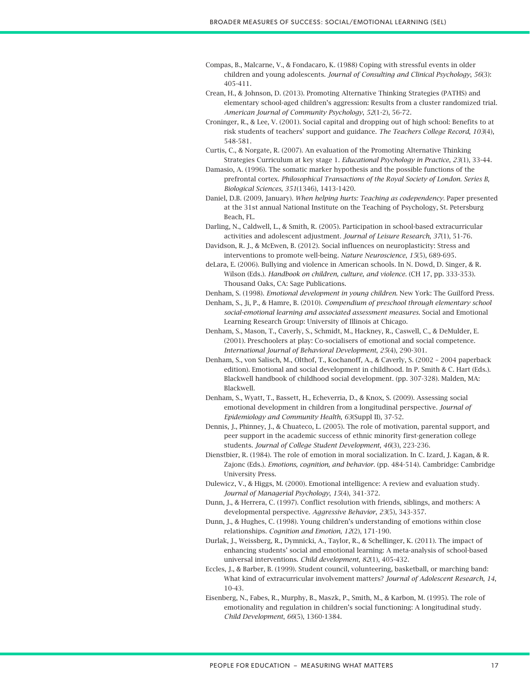- Compas, B., Malcarne, V., & Fondacaro, K. (1988) Coping with stressful events in older children and young adolescents. *Journal of Consulting and Clinical Psychology*, *56*(3): 405-411.
- Crean, H., & Johnson, D. (2013). Promoting Alternative Thinking Strategies (PATHS) and elementary school-aged children's aggression: Results from a cluster randomized trial. *American Journal of Community Psychology*, *52*(1-2), 56-72.
- Croninger, R., & Lee, V. (2001). Social capital and dropping out of high school: Benefits to at risk students of teachers' support and guidance. *The Teachers College Record*, *103*(4), 548-581.
- Curtis, C., & Norgate, R. (2007). An evaluation of the Promoting Alternative Thinking Strategies Curriculum at key stage 1. *Educational Psychology in Practice*, *23*(1), 33-44.
- Damasio, A. (1996). The somatic marker hypothesis and the possible functions of the prefrontal cortex. *Philosophical Transactions of the Royal Society of London. Series B, Biological Sciences*, *351*(1346), 1413-1420.
- Daniel, D.B. (2009, January). *When helping hurts: Teaching as codependency*. Paper presented at the 31st annual National Institute on the Teaching of Psychology, St. Petersburg Beach, FL.
- Darling, N., Caldwell, L., & Smith, R. (2005). Participation in school-based extracurricular activities and adolescent adjustment. *Journal of Leisure Research*, *37*(1), 51-76.
- Davidson, R. J., & McEwen, B. (2012). Social influences on neuroplasticity: Stress and interventions to promote well-being. *Nature Neuroscience*, *15*(5), 689-695.
- deLara, E. (2006). Bullying and violence in American schools. In N. Dowd, D. Singer, & R. Wilson (Eds.). *Handbook on children, culture, and violence*. (CH 17, pp. 333-353). Thousand Oaks, CA: Sage Publications.
- Denham, S. (1998). *Emotional development in young children*. New York: The Guilford Press.
- Denham, S., Ji, P., & Hamre, B. (2010). *Compendium of preschool through elementary school social-emotional learning and associated assessment measures*. Social and Emotional Learning Research Group: University of Illinois at Chicago.
- Denham, S., Mason, T., Caverly, S., Schmidt, M., Hackney, R., Caswell, C., & DeMulder, E. (2001). Preschoolers at play: Co-socialisers of emotional and social competence. *International Journal of Behavioral Development*, *25*(4), 290-301.
- Denham, S., von Salisch, M., Olthof, T., Kochanoff, A., & Caverly, S. (2002 2004 paperback edition). Emotional and social development in childhood. In P. Smith & C. Hart (Eds.). Blackwell handbook of childhood social development. (pp. 307-328). Malden, MA: Blackwell.
- Denham, S., Wyatt, T., Bassett, H., Echeverria, D., & Knox, S. (2009). Assessing social emotional development in children from a longitudinal perspective. *Journal of Epidemiology and Community Health*, *63*(Suppl II), 37-52.
- Dennis, J., Phinney, J., & Chuateco, L. (2005). The role of motivation, parental support, and peer support in the academic success of ethnic minority first-generation college students. *Journal of College Student Development*, *46*(3), 223-236.
- Dienstbier, R. (1984). The role of emotion in moral socialization. In C. Izard, J. Kagan, & R. Zajonc (Eds.). *Emotions, cognition, and behavior*. (pp. 484-514). Cambridge: Cambridge University Press.
- Dulewicz, V., & Higgs, M. (2000). Emotional intelligence: A review and evaluation study. *Journal of Managerial Psychology*, *15*(4), 341-372.
- Dunn, J., & Herrera, C. (1997). Conflict resolution with friends, siblings, and mothers: A developmental perspective. *Aggressive Behavior*, *23*(5), 343-357.
- Dunn, J., & Hughes, C. (1998). Young children's understanding of emotions within close relationships. *Cognition and Emotion*, *12*(2), 171-190.
- Durlak, J., Weissberg, R., Dymnicki, A., Taylor, R., & Schellinger, K. (2011). The impact of enhancing students' social and emotional learning: A meta-analysis of school-based universal interventions. *Child development*, *82*(1), 405-432.
- Eccles, J., & Barber, B. (1999). Student council, volunteering, basketball, or marching band: What kind of extracurricular involvement matters? *Journal of Adolescent Research*, *14*, 10-43.
- Eisenberg, N., Fabes, R., Murphy, B., Maszk, P., Smith, M., & Karbon, M. (1995). The role of emotionality and regulation in children's social functioning: A longitudinal study. *Child Development*, *66*(5), 1360-1384.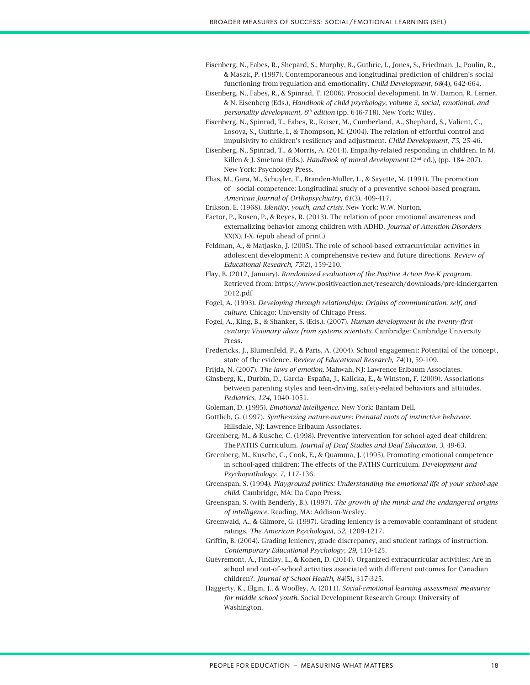Eisenberg, N., Fabes, R., Shepard, S., Murphy, B., Guthrie, I., Jones, S., Friedman, J., Poulin, R., & Maszk, P. (1997). Contemporaneous and longitudinal prediction of children's social functioning from regulation and emotionality. *Child Development*, *68*(4), 642-664.

- Eisenberg, N., Fabes, R., & Spinrad, T. (2006). Prosocial development. In W. Damon, R. Lerner, & N. Eisenberg (Eds.), *Handbook of child psychology, volume 3, social, emotional, and personality development, 6th edition* (pp. 646-718). New York: Wiley.
- Eisenberg, N., Spinrad, T., Fabes, R., Reiser, M., Cumberland, A., Shephard, S., Valient, C., Losoya, S., Guthrie, I., & Thompson, M. (2004). The relation of effortful control and impulsivity to children's resiliency and adjustment. *Child Development*, *75*, 25-46.
- Eisenberg, N., Spinrad, T., & Morris, A. (2014). Empathy-related responding in children. In M. Killen & J. Smetana (Eds.). *Handbook of moral development* (2nd ed.), (pp. 184-207). New York: Psychology Press.
- Elias, M., Gara, M., Schuyler, T., Branden-Muller, L., & Sayette, M. (1991). The promotion of social competence: Longitudinal study of a preventive school-based program. *American Journal of Orthopsychiatry*, *61*(3), 409-417.
- Erikson, E. (1968). *Identity, youth, and crisis*. New York: W.W. Norton.
- Factor, P., Rosen, P., & Reyes, R. (2013). The relation of poor emotional awareness and externalizing behavior among children with ADHD. *Journal of Attention Disorders* XX(X), I-X. (epub ahead of print.)
- Feldman, A., & Matjasko, J. (2005). The role of school-based extracurricular activities in adolescent development: A comprehensive review and future directions. *Review of Educational Research*, *75*(2), 159-210.
- Flay, B. (2012, January). *Randomized evaluation of the Positive Action Pre-K program*. Retrieved from: https://www.positiveaction.net/research/downloads/pre-kindergarten 2012.pdf
- Fogel, A. (1993). *Developing through relationships: Origins of communication, self, and culture*. Chicago: University of Chicago Press.
- Fogel, A., King, B., & Shanker, S. (Eds.). (2007). *Human development in the twenty-first century: Visionary ideas from systems scientists*. Cambridge: Cambridge University Press.
- Fredericks, J., Blumenfeld, P., & Paris, A. (2004). School engagement: Potential of the concept, state of the evidence. *Review of Educational Research*, *74*(1), 59-109.
- Frijda, N. (2007). *The laws of emotion*. Mahwah, NJ: Lawrence Erlbaum Associates.
- Ginsberg, K., Durbin, D., García- España, J., Kalicka, E., & Winston, F. (2009). Associations between parenting styles and teen-driving, safety-related behaviors and attitudes. *Pediatrics*, *124*, 1040-1051.
- Goleman, D. (1995). *Emotional intelligence*. New York: Bantam Dell.
- Gottlieb, G. (1997). *Synthesizing nature-nuture: Prenatal roots of instinctive behavior*. Hillsdale, NJ: Lawrence Erlbaum Associates.
- Greenberg, M., & Kusche, C. (1998). Preventive intervention for school-aged deaf children: ThePATHS Curriculum. *Journal of Deaf Studies and Deaf Education*, *3*, 49-63.
- Greenberg, M., Kusche, C., Cook, E., & Quamma, J. (1995). Promoting emotional competence in school-aged children: The effects of the PATHS Curriculum. *Development and Psychopathology*, *7*, 117-136.
- Greenspan, S. (1994). *Playground politics: Understanding the emotional life of your school-age child*. Cambridge, MA: Da Capo Press.
- Greenspan, S. (with Benderly, B.). (1997). *The growth of the mind: and the endangered origins of intelligence*. Reading, MA: Addison-Wesley.
- Greenwald, A., & Gilmore, G. (1997). Grading leniency is a removable contaminant of student ratings. *The American Psychologist*, *52*, 1209-1217.
- Griffin, B. (2004). Grading leniency, grade discrepancy, and student ratings of instruction. *Contemporary Educational Psychology*, *29*, 410-425.
- Guévremont, A., Findlay, L., & Kohen, D. (2014). Organized extracurricular activities: Are in school and out-of-school activities associated with different outcomes for Canadian children?. *Journal of School Health*, *84*(5), 317-325.
- Haggerty, K., Elgin, J., & Woolley, A. (2011). *Social-emotional learning assessment measures for middle school youth*. Social Development Research Group: University of Washington.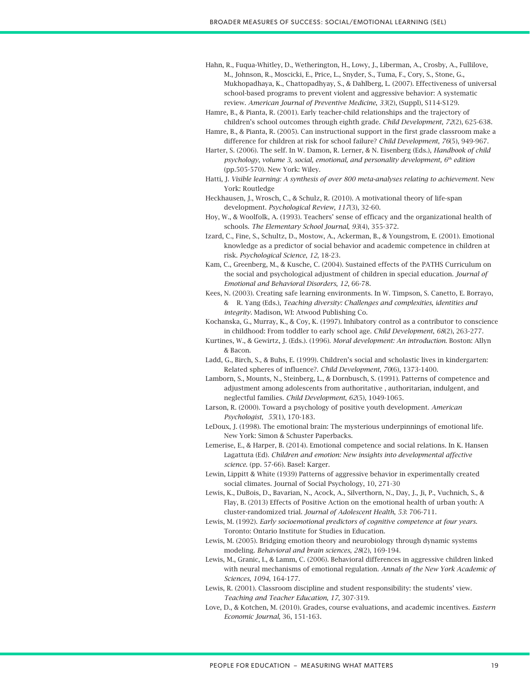- Hahn, R., Fuqua-Whitley, D., Wetherington, H., Lowy, J., Liberman, A., Crosby, A., Fullilove, M., Johnson, R., Moscicki, E., Price, L., Snyder, S., Tuma, F., Cory, S., Stone, G., Mukhopadhaya, K., Chattopadhyay, S., & Dahlberg, L. (2007). Effectiveness of universal school-based programs to prevent violent and aggressive behavior: A systematic review. *American Journal of Preventive Medicine*, *33*(2), (Suppl), S114-S129.
- Hamre, B., & Pianta, R. (2001). Early teacher-child relationships and the trajectory of children's school outcomes through eighth grade. *Child Development*, *72*(2), 625-638.
- Hamre, B., & Pianta, R. (2005). Can instructional support in the first grade classroom make a difference for children at risk for school failure? *Child Development*, *76*(5), 949-967.
- Harter, S. (2006). The self. In W. Damon, R. Lerner, & N. Eisenberg (Eds.), *Handbook of child psychology, volume 3, social, emotional, and personality development, 6th edition* (pp.505-570). New York: Wiley.
- Hatti, J. *Visible learning: A synthesis of over 800 meta-analyses relating to achievement*. New York: Routledge
- Heckhausen, J., Wrosch, C., & Schulz, R. (2010). A motivational theory of life-span development. *Psychological Review*, *117*(3), 32-60.
- Hoy, W., & Woolfolk, A. (1993). Teachers' sense of efficacy and the organizational health of schools. *The Elementary School Journal*, *93*(4), 355-372.
- Izard, C., Fine, S., Schultz, D., Mostow, A., Ackerman, B., & Youngstrom, E. (2001). Emotional knowledge as a predictor of social behavior and academic competence in children at risk. *Psychological Science*, *12*, 18-23.
- Kam, C., Greenberg, M., & Kusche, C. (2004). Sustained effects of the PATHS Curriculum on the social and psychological adjustment of children in special education. *Journal of Emotional and Behavioral Disorders*, *12*, 66-78.
- Kees, N. (2003). Creating safe learning environments. In W. Timpson, S. Canetto, E. Borrayo, & R. Yang (Eds.), *Teaching diversity: Challenges and complexities, identities and integrity*. Madison, WI: Atwood Publishing Co.
- Kochanska, G., Murray, K., & Coy, K. (1997). Inhibatory control as a contributor to conscience in childhood: From toddler to early school age. *Child Development*, *68*(2), 263-277.
- Kurtines, W., & Gewirtz, J. (Eds.). (1996). *Moral development: An introduction*. Boston: Allyn & Bacon.
- Ladd, G., Birch, S., & Buhs, E. (1999). Children's social and scholastic lives in kindergarten: Related spheres of influence?. *Child Development*, *70*(6), 1373-1400.
- Lamborn, S., Mounts, N., Steinberg, L., & Dornbusch, S. (1991). Patterns of competence and adjustment among adolescents from authoritative , authoritarian, indulgent, and neglectful families. *Child Development*, *62*(5), 1049-1065.
- Larson, R. (2000). Toward a psychology of positive youth development. *American Psychologist*, *55*(1), 170-183.
- LeDoux, J. (1998). The emotional brain: The mysterious underpinnings of emotional life. New York: Simon & Schuster Paperbacks.
- Lemerise, E., & Harper, B. (2014). Emotional competence and social relations. In K. Hansen Lagattuta (Ed). *Children and emotion: New insights into developmental affective science*. (pp. 57-66). Basel: Karger.
- Lewin, Lippitt & White (1939) Patterns of aggressive behavior in experimentally created social climates. Journal of Social Psychology, 10, 271-30
- Lewis, K., DuBois, D., Bavarian, N., Acock, A., Silverthorn, N., Day, J., Ji, P., Vuchnich, S., & Flay, B. (2013) Effects of Positive Action on the emotional health of urban youth: A cluster-randomized trial. *Journal of Adolescent Health*, *53*: 706-711.
- Lewis, M. (1992). *Early socioemotional predictors of cognitive competence at four years*. Toronto: Ontario Institute for Studies in Education.
- Lewis, M. (2005). Bridging emotion theory and neurobiology through dynamic systems modeling. *Behavioral and brain sciences*, *28*(2), 169-194.
- Lewis, M., Granic, I., & Lamm, C. (2006). Behavioral differences in aggressive children linked with neural mechanisms of emotional regulation. *Annals of the New York Academic of Sciences*, *1094*, 164-177.
- Lewis, R. (2001). Classroom discipline and student responsibility: the students' view. *Teaching and Teacher Education*, *17*, 307-319.
- Love, D., & Kotchen, M. (2010). Grades, course evaluations, and academic incentives. *Eastern Economic Journal*, 36, 151-163.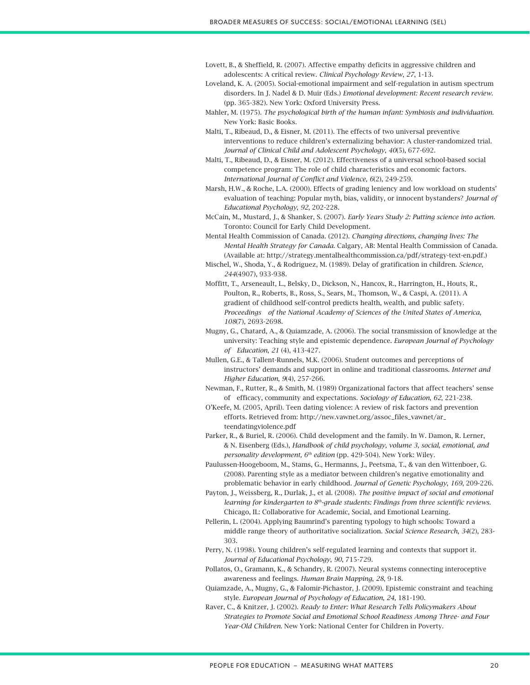- Lovett, B., & Sheffield, R. (2007). Affective empathy deficits in aggressive children and adolescents: A critical review. *Clinical Psychology Review*, *27*, 1-13.
- Loveland, K. A. (2005). Social-emotional impairment and self-regulation in autism spectrum disorders. In J. Nadel & D. Muir (Eds.) *Emotional development: Recent research review*. (pp. 365-382). New York: Oxford University Press.
- Mahler, M. (1975). *The psychological birth of the human infant: Symbiosis and individuation*. New York: Basic Books.
- Malti, T., Ribeaud, D., & Eisner, M. (2011). The effects of two universal preventive interventions to reduce children's externalizing behavior: A cluster-randomized trial. *Journal of Clinical Child and Adolescent Psychology*, *40*(5), 677-692.
- Malti, T., Ribeaud, D., & Eisner, M. (2012). Effectiveness of a universal school-based social competence program: The role of child characteristics and economic factors. *International Journal of Conflict and Violence*, *6*(2), 249-259.
- Marsh, H.W., & Roche, L.A. (2000). Effects of grading leniency and low workload on students' evaluation of teaching: Popular myth, bias, validity, or innocent bystanders? *Journal of Educational Psychology*, *92*, 202-228.
- McCain, M., Mustard, J., & Shanker, S. (2007). *Early Years Study 2: Putting science into action*. Toronto: Council for Early Child Development.
- Mental Health Commission of Canada. (2012). *Changing directions, changing lives: The Mental Health Strategy for Canada*. Calgary, AB: Mental Health Commission of Canada. (Available at: http://strategy.mentalhealthcommission.ca/pdf/strategy-text-en.pdf.)
- Mischel, W., Shoda, Y., & Rodriguez, M. (1989). Delay of gratification in children. *Science*, *244*(4907), 933-938.
- Moffitt, T., Arseneault, L., Belsky, D., Dickson, N., Hancox, R., Harrington, H., Houts, R., Poulton, R., Roberts, B., Ross, S., Sears, M., Thomson, W., & Caspi, A. (2011). A gradient of childhood self-control predicts health, wealth, and public safety*. Proceedings of the National Academy of Sciences of the United States of America*, *108*(7), 2693-2698.
- Mugny, G., Chatard, A., & Quiamzade, A. (2006). The social transmission of knowledge at the university: Teaching style and epistemic dependence. *European Journal of Psychology of Education*, *21* (4), 413-427.
- Mullen, G.E., & Tallent-Runnels, M.K. (2006). Student outcomes and perceptions of instructors' demands and support in online and traditional classrooms. *Internet and Higher Education*, *9*(4), 257-266.
- Newman, F., Rutter, R., & Smith, M. (1989) Organizational factors that affect teachers' sense of efficacy, community and expectations. *Sociology of Education*, *62*, 221-238.
- O'Keefe, M. (2005, April). Teen dating violence: A review of risk factors and prevention efforts. Retrieved from: http://new.vawnet.org/assoc\_files\_vawnet/ar\_ teendatingviolence.pdf
- Parker, R., & Buriel, R. (2006). Child development and the family. In W. Damon, R. Lerner, & N. Eisenberg (Eds.), *Handbook of child psychology, volume 3, social, emotional, and personality development, 6<sup>th</sup> edition* (pp. 429-504). New York: Wiley.
- Paulussen-Hoogeboom, M., Stams, G., Hermanns, J., Peetsma, T., & van den Wittenboer, G. (2008). Parenting style as a mediator between children's negative emotionality and problematic behavior in early childhood. *Journal of Genetic Psychology*, *169*, 209-226.
- Payton, J., Weissberg, R., Durlak, J., et al. (2008). *The positive impact of social and emotional learning for kindergarten to 8th-grade students: Findings from three scientific reviews*. Chicago, IL: Collaborative for Academic, Social, and Emotional Learning.
- Pellerin, L. (2004). Applying Baumrind's parenting typology to high schools: Toward a middle range theory of authoritative socialization. *Social Science Research*, *34*(2), 283- 303.
- Perry, N. (1998). Young children's self-regulated learning and contexts that support it. *Journal of Educational Psychology*, *90*, 715-729.
- Pollatos, O., Gramann, K., & Schandry, R. (2007). Neural systems connecting interoceptive awareness and feelings. *Human Brain Mapping*, *28*, 9-18.
- Quiamzade, A., Mugny, G., & Falomir-Pichastor, J. (2009). Epistemic constraint and teaching style. *European Journal of Psychology of Education*, *24*, 181-190.
- Raver, C., & Knitzer, J. (2002). *Ready to Enter: What Research Tells Policymakers About Strategies to Promote Social and Emotional School Readiness Among Three- and Four Year-Old Children*. New York: National Center for Children in Poverty.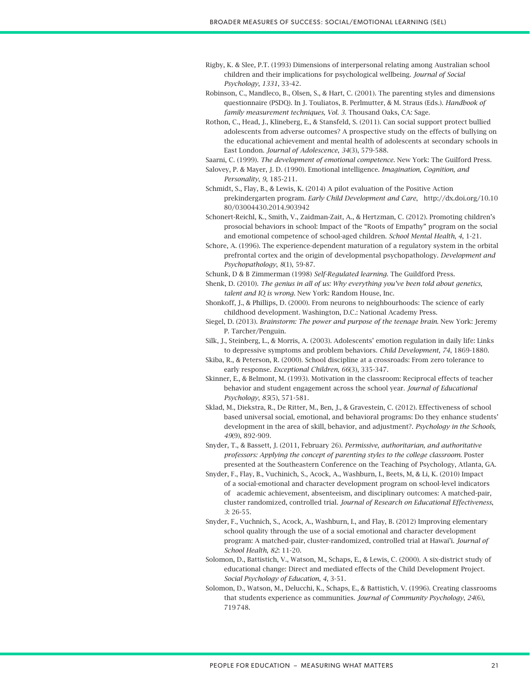- Rigby, K. & Slee, P.T. (1993) Dimensions of interpersonal relating among Australian school children and their implications for psychological wellbeing. *Journal of Social Psychology*, *1331*, 33-42.
- Robinson, C., Mandleco, B., Olsen, S., & Hart, C. (2001). The parenting styles and dimensions questionnaire (PSDQ). In J. Touliatos, B. Perlmutter, & M. Straus (Eds.). *Handbook of family measurement techniques, Vol. 3*. Thousand Oaks, CA: Sage.
- Rothon, C., Head, J., Klineberg, E., & Stansfeld, S. (2011). Can social support protect bullied adolescents from adverse outcomes? A prospective study on the effects of bullying on the educational achievement and mental health of adolescents at secondary schools in East London. *Journal of Adolescence*, *34*(3), 579-588.
- Saarni, C. (1999). *The development of emotional competence*. New York: The Guilford Press.
- Salovey, P. & Mayer, J. D. (1990). Emotional intelligence. *Imagination, Cognition, and Personality*, *9*, 185-211.
- Schmidt, S., Flay, B., & Lewis, K. (2014) A pilot evaluation of the Positive Action prekindergarten program. *Early Child Development and Care*, http://dx.doi.org/10.10 80/03004430.2014.903942
- Schonert-Reichl, K., Smith, V., Zaidman-Zait, A., & Hertzman, C. (2012). Promoting children's prosocial behaviors in school: Impact of the "Roots of Empathy" program on the social and emotional competence of school-aged children. *School Mental Health*, *4*, 1-21.
- Schore, A. (1996). The experience-dependent maturation of a regulatory system in the orbital prefrontal cortex and the origin of developmental psychopathology. *Development and Psychopathology*, *8*(1), 59-87.
- Schunk, D & B Zimmerman (1998) *Self-Regulated learning*. The Guildford Press.
- Shenk, D. (2010). *The genius in all of us: Why everything you've been told about genetics, talent and IQ is wrong*. New York: Random House, Inc.
- Shonkoff, J., & Phillips, D. (2000). From neurons to neighbourhoods: The science of early childhood development. Washington, D.C.: National Academy Press.
- Siegel, D. (2013). *Brainstorm: The power and purpose of the teenage brain*. New York: Jeremy P. Tarcher/Penguin.
- Silk, J., Steinberg, L., & Morris, A. (2003). Adolescents' emotion regulation in daily life: Links to depressive symptoms and problem behaviors. *Child Development*, *74*, 1869-1880.
- Skiba, R., & Peterson, R. (2000). School discipline at a crossroads: From zero tolerance to early response. *Exceptional Children*, *66*(3), 335-347.
- Skinner, E., & Belmont, M. (1993). Motivation in the classroom: Reciprocal effects of teacher behavior and student engagement across the school year. *Journal of Educational Psychology*, *85*(5), 571-581.
- Sklad, M., Diekstra, R., De Ritter, M., Ben, J., & Gravestein, C. (2012). Effectiveness of school based universal social, emotional, and behavioral programs: Do they enhance students' development in the area of skill, behavior, and adjustment?. *Psychology in the Schools*, *49*(9), 892-909.
- Snyder, T., & Bassett, J. (2011, February 26). *Permissive, authoritarian, and authoritative professors: Applying the concept of parenting styles to the college classroom*. Poster presented at the Southeastern Conference on the Teaching of Psychology, Atlanta, GA.
- Snyder, F., Flay, B., Vuchinich, S., Acock, A., Washburn, I., Beets, M, & Li, K. (2010) Impact of a social-emotional and character development program on school-level indicators of academic achievement, absenteeism, and disciplinary outcomes: A matched-pair, cluster randomized, controlled trial. *Journal of Research on Educational Effectiveness*, *3*: 26-55.
- Snyder, F., Vuchnich, S., Acock, A., Washburn, I., and Flay, B. (2012) Improving elementary school quality through the use of a social emotional and character development program: A matched-pair, cluster-randomized, controlled trial at Hawai'i. *Journal of School Health*, *82*: 11-20.
- Solomon, D., Battistich, V., Watson, M., Schaps, E., & Lewis, C. (2000). A six-district study of educational change: Direct and mediated effects of the Child Development Project. *Social Psychology of Education*, *4*, 3-51.
- Solomon, D., Watson, M., Delucchi, K., Schaps, E., & Battistich, V. (1996). Creating classrooms that students experience as communities. *Journal of Community Psychology*, *24*(6), 719748.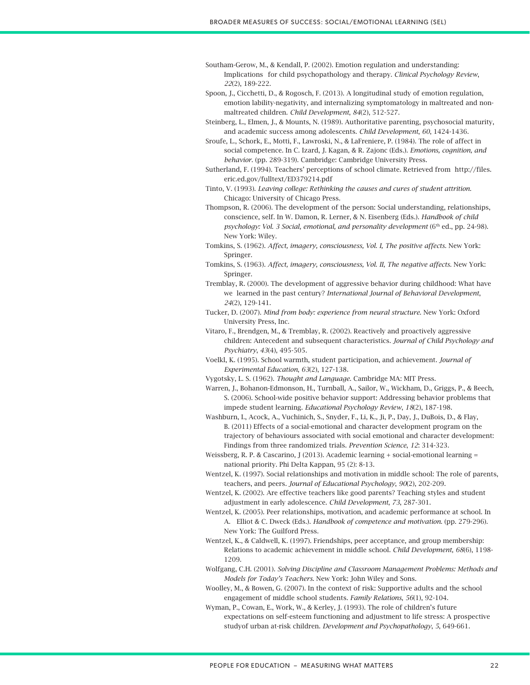- Southam-Gerow, M., & Kendall, P. (2002). Emotion regulation and understanding: Implications for child psychopathology and therapy. *Clinical Psychology Review*, *22*(2), 189-222.
- Spoon, J., Cicchetti, D., & Rogosch, F. (2013). A longitudinal study of emotion regulation, emotion lability-negativity, and internalizing symptomatology in maltreated and nonmaltreated children. *Child Development*, *84*(2), 512-527.
- Steinberg, L., Elmen, J., & Mounts, N. (1989). Authoritative parenting, psychosocial maturity, and academic success among adolescents. *Child Development*, *60*, 1424-1436.
- Sroufe, L., Schork, E., Motti, F., Lawroski, N., & LaFreniere, P. (1984). The role of affect in social competence. In C. Izard, J. Kagan, & R. Zajonc (Eds.). *Emotions, cognition, and behavior*. (pp. 289-319). Cambridge: Cambridge University Press.
- Sutherland, F. (1994). Teachers' perceptions of school climate. Retrieved from http://files. eric.ed.gov/fulltext/ED379214.pdf
- Tinto, V. (1993). *Leaving college: Rethinking the causes and cures of student attrition*. Chicago: University of Chicago Press.
- Thompson, R. (2006). The development of the person: Social understanding, relationships, conscience, self. In W. Damon, R. Lerner, & N. Eisenberg (Eds.). *Handbook of child psychology: Vol. 3 Social, emotional, and personality development* (6<sup>th</sup> ed., pp. 24-98). New York: Wiley.
- Tomkins, S. (1962). *Affect, imagery, consciousness, Vol. I, The positive affects*. New York: Springer.
- Tomkins, S. (1963). *Affect, imagery, consciousness, Vol. II, The negative affects*. New York: Springer.
- Tremblay, R. (2000). The development of aggressive behavior during childhood: What have we learned in the past century? *International Journal of Behavioral Development*, *24*(2), 129-141.
- Tucker, D. (2007). *Mind from body: experience from neural structure*. New York: Oxford University Press, Inc.
- Vitaro, F., Brendgen, M., & Tremblay, R. (2002). Reactively and proactively aggressive children: Antecedent and subsequent characteristics. *Journal of Child Psychology and Psychiatry*, *43*(4), 495-505.
- Voelkl, K. (1995). School warmth, student participation, and achievement. *Journal of Experimental Education*, *63*(2), 127-138.
- Vygotsky, L. S. (1962). *Thought and Language.* Cambridge MA: MIT Press.
- Warren, J., Bohanon-Edmonson, H., Turnball, A., Sailor, W., Wickham, D., Griggs, P., & Beech, S. (2006). School-wide positive behavior support: Addressing behavior problems that impede student learning. *Educational Psychology Review*, *18*(2), 187-198.
- Washburn, I., Acock, A., Vuchinich, S., Snyder, F., Li, K., Ji, P., Day, J., DuBois, D., & Flay, B. (2011) Effects of a social-emotional and character development program on the trajectory of behaviours associated with social emotional and character development: Findings from three randomized trials. *Prevention Science*, *12*: 314-323.
- Weissberg, R. P. & Cascarino, J (2013). Academic learning + social-emotional learning = national priority. Phi Delta Kappan, 95 (2): 8-13.
- Wentzel, K. (1997). Social relationships and motivation in middle school: The role of parents, teachers, and peers*. Journal of Educational Psychology*, *90*(2), 202-209.
- Wentzel, K. (2002). Are effective teachers like good parents? Teaching styles and student adjustment in early adolescence. *Child Development*, *73*, 287-301.
- Wentzel, K. (2005). Peer relationships, motivation, and academic performance at school. In A. Elliot & C. Dweck (Eds.). *Handbook of competence and motivation*. (pp. 279-296). New York: The Guilford Press.
- Wentzel, K., & Caldwell, K. (1997). Friendships, peer acceptance, and group membership: Relations to academic achievement in middle school. *Child Development*, *68*(6), 1198- 1209.
- Wolfgang, C.H. (2001). *Solving Discipline and Classroom Management Problems: Methods and Models for Today's Teachers*. New York: John Wiley and Sons.
- Woolley, M., & Bowen, G. (2007). In the context of risk: Supportive adults and the school engagement of middle school students*. Family Relations*, *56*(1), 92-104.
- Wyman, P., Cowan, E., Work, W., & Kerley, J. (1993). The role of children's future expectations on self-esteem functioning and adjustment to life stress: A prospective studyof urban at-risk children. *Development and Psychopathology*, *5*, 649-661.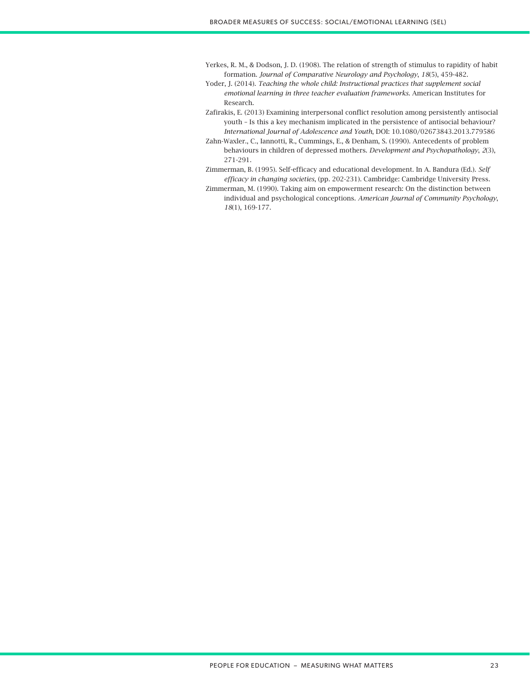- Yerkes, R. M., & Dodson, J. D. (1908). The relation of strength of stimulus to rapidity of habit formation. *Journal of Comparative Neurology and Psychology*, *18*(5), 459-482.
- Yoder, J. (2014). *Teaching the whole child: Instructional practices that supplement social emotional learning in three teacher evaluation frameworks*. American Institutes for Research.
- Zafirakis, E. (2013) Examining interpersonal conflict resolution among persistently antisocial youth – Is this a key mechanism implicated in the persistence of antisocial behaviour? *International Journal of Adolescence and Youth*, DOI: 10.1080/02673843.2013.779586
- Zahn-Waxler., C., Iannotti, R., Cummings, E., & Denham, S. (1990). Antecedents of problem behaviours in children of depressed mothers. *Development and Psychopathology*, *2*(3), 271-291.
- Zimmerman, B. (1995). Self-efficacy and educational development. In A. Bandura (Ed.). *Self efficacy in changing societies*, (pp. 202-231). Cambridge: Cambridge University Press.
- Zimmerman, M. (1990). Taking aim on empowerment research: On the distinction between individual and psychological conceptions. *American Journal of Community Psychology*, *18*(1), 169-177.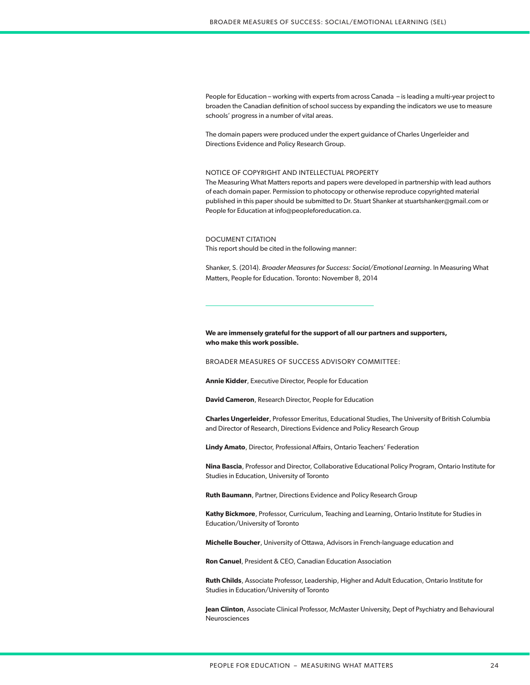People for Education – working with experts from across Canada – is leading a multi-year project to broaden the Canadian definition of school success by expanding the indicators we use to measure schools' progress in a number of vital areas.

The domain papers were produced under the expert guidance of Charles Ungerleider and Directions Evidence and Policy Research Group.

#### NOTICE OF COPYRIGHT AND INTELLECTUAL PROPERTY

The Measuring What Matters reports and papers were developed in partnership with lead authors of each domain paper. Permission to photocopy or otherwise reproduce copyrighted material published in this paper should be submitted to Dr. Stuart Shanker at stuartshanker@gmail.com or People for Education at info@peopleforeducation.ca.

#### DOCUMENT CITATION

This report should be cited in the following manner:

Shanker, S. (2014). *Broader Measures for Success: Social/Emotional Learning*. In Measuring What Matters, People for Education. Toronto: November 8, 2014

## **We are immensely grateful for the support of all our partners and supporters, who make this work possible.**

BROADER MEASURES OF SUCCESS ADVISORY COMMITTEE:

**Annie Kidder**, Executive Director, People for Education

**David Cameron**, Research Director, People for Education

**Charles Ungerleider**, Professor Emeritus, Educational Studies, The University of British Columbia and Director of Research, Directions Evidence and Policy Research Group

**Lindy Amato**, Director, Professional Affairs, Ontario Teachers' Federation

**Nina Bascia**, Professor and Director, Collaborative Educational Policy Program, Ontario Institute for Studies in Education, University of Toronto

**Ruth Baumann**, Partner, Directions Evidence and Policy Research Group

**Kathy Bickmore**, Professor, Curriculum, Teaching and Learning, Ontario Institute for Studies in Education/University of Toronto

**Michelle Boucher**, University of Ottawa, Advisors in French-language education and

**Ron Canuel**, President & CEO, Canadian Education Association

**Ruth Childs**, Associate Professor, Leadership, Higher and Adult Education, Ontario Institute for Studies in Education/University of Toronto

**Jean Clinton**, Associate Clinical Professor, McMaster University, Dept of Psychiatry and Behavioural Neurosciences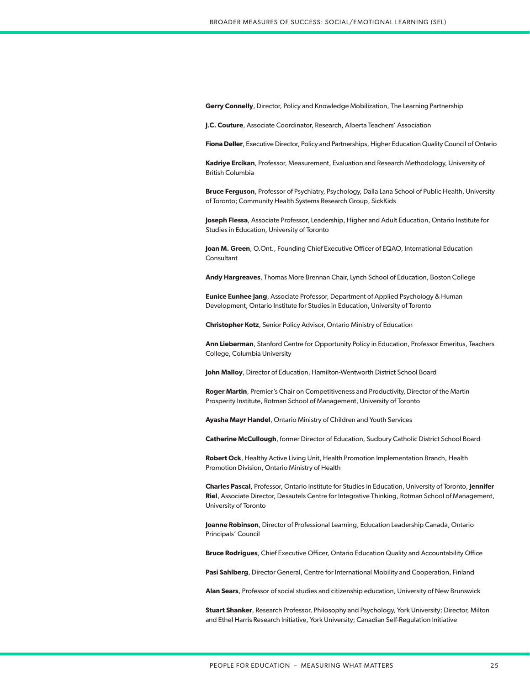**Gerry Connelly**, Director, Policy and Knowledge Mobilization, The Learning Partnership

**J.C. Couture**, Associate Coordinator, Research, Alberta Teachers' Association

**Fiona Deller**, Executive Director, Policy and Partnerships, Higher Education Quality Council of Ontario

**Kadriye Ercikan**, Professor, Measurement, Evaluation and Research Methodology, University of British Columbia

**Bruce Ferguson**, Professor of Psychiatry, Psychology, Dalla Lana School of Public Health, University of Toronto; Community Health Systems Research Group, SickKids

**Joseph Flessa**, Associate Professor, Leadership, Higher and Adult Education, Ontario Institute for Studies in Education, University of Toronto

**Joan M. Green**, O.Ont., Founding Chief Executive Officer of EQAO, International Education Consultant

**Andy Hargreaves**, Thomas More Brennan Chair, Lynch School of Education, Boston College

**Eunice Eunhee Jang**, Associate Professor, Department of Applied Psychology & Human Development, Ontario Institute for Studies in Education, University of Toronto

**Christopher Kotz**, Senior Policy Advisor, Ontario Ministry of Education

**Ann Lieberman**, Stanford Centre for Opportunity Policy in Education, Professor Emeritus, Teachers College, Columbia University

**John Malloy**, Director of Education, Hamilton-Wentworth District School Board

**Roger Martin**, Premier's Chair on Competitiveness and Productivity, Director of the Martin Prosperity Institute, Rotman School of Management, University of Toronto

**Ayasha Mayr Handel**, Ontario Ministry of Children and Youth Services

**Catherine McCullough**, former Director of Education, Sudbury Catholic District School Board

**Robert Ock**, Healthy Active Living Unit, Health Promotion Implementation Branch, Health Promotion Division, Ontario Ministry of Health

**Charles Pascal**, Professor, Ontario Institute for Studies in Education, University of Toronto, **Jennifer Riel**, Associate Director, Desautels Centre for Integrative Thinking, Rotman School of Management, University of Toronto

**Joanne Robinson**, Director of Professional Learning, Education Leadership Canada, Ontario Principals' Council

**Bruce Rodrigues**, Chief Executive Officer, Ontario Education Quality and Accountability Office

**Pasi Sahlberg**, Director General, Centre for International Mobility and Cooperation, Finland

**Alan Sears**, Professor of social studies and citizenship education, University of New Brunswick

**Stuart Shanker**, Research Professor, Philosophy and Psychology, York University; Director, Milton and Ethel Harris Research Initiative, York University; Canadian Self-Regulation Initiative